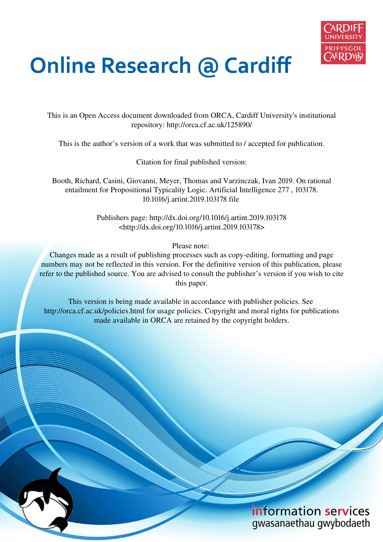

# **Online Research @ Cardiff**

This is an Open Access document downloaded from ORCA, Cardiff University's institutional repository: http://orca.cf.ac.uk/125890/

This is the author's version of a work that was submitted to / accepted for publication.

Citation for final published version:

Booth, Richard, Casini, Giovanni, Meyer, Thomas and Varzinczak, Ivan 2019. On rational entailment for Propositional Typicality Logic. Artificial Intelligence 277 , 103178. 10.1016/j.artint.2019.103178 file

> Publishers page: http://dx.doi.org/10.1016/j.artint.2019.103178 <http://dx.doi.org/10.1016/j.artint.2019.103178>

> > Please note:

Changes made as a result of publishing processes such as copy-editing, formatting and page numbers may not be reflected in this version. For the definitive version of this publication, please refer to the published source. You are advised to consult the publisher's version if you wish to cite this paper.

This version is being made available in accordance with publisher policies. See http://orca.cf.ac.uk/policies.html for usage policies. Copyright and moral rights for publications made available in ORCA are retained by the copyright holders.

## information services gwasanaethau gwybodaeth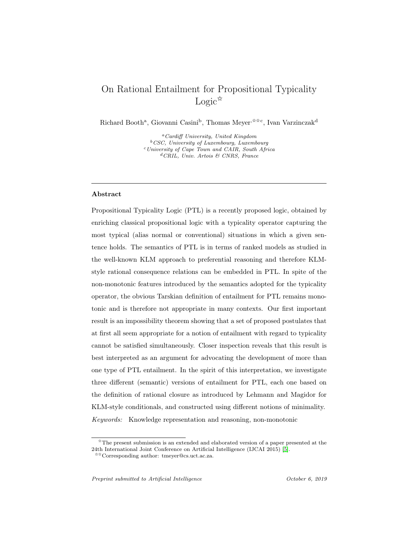### On Rational Entailment for Propositional Typicality  $Logic^{\hat{\kappa}}$

Richard Booth<sup>a</sup>, Giovanni Casini<sup>b</sup>, Thomas Meyer<sup>,☆☆c</sup>, Ivan Varzinczak<sup>d</sup>

<sup>a</sup>Cardiff University, United Kingdom <sup>b</sup>CSC, University of Luxembourg, Luxembourg <sup>c</sup>University of Cape Town and CAIR, South Africa <sup>d</sup>CRIL, Univ. Artois & CNRS, France

#### Abstract

Propositional Typicality Logic (PTL) is a recently proposed logic, obtained by enriching classical propositional logic with a typicality operator capturing the most typical (alias normal or conventional) situations in which a given sentence holds. The semantics of PTL is in terms of ranked models as studied in the well-known KLM approach to preferential reasoning and therefore KLMstyle rational consequence relations can be embedded in PTL. In spite of the non-monotonic features introduced by the semantics adopted for the typicality operator, the obvious Tarskian definition of entailment for PTL remains monotonic and is therefore not appropriate in many contexts. Our first important result is an impossibility theorem showing that a set of proposed postulates that at first all seem appropriate for a notion of entailment with regard to typicality cannot be satisfied simultaneously. Closer inspection reveals that this result is best interpreted as an argument for advocating the development of more than one type of PTL entailment. In the spirit of this interpretation, we investigate three different (semantic) versions of entailment for PTL, each one based on the definition of rational closure as introduced by Lehmann and Magidor for KLM-style conditionals, and constructed using different notions of minimality. Keywords: Knowledge representation and reasoning, non-monotonic

 $\overline{X}$ The present submission is an extended and elaborated version of a paper presented at the 24th International Joint Conference on Artificial Intelligence (IJCAI 2015) [\[5\]](#page-43-0).

<sup>✩✩</sup>Corresponding author: tmeyer@cs.uct.ac.za.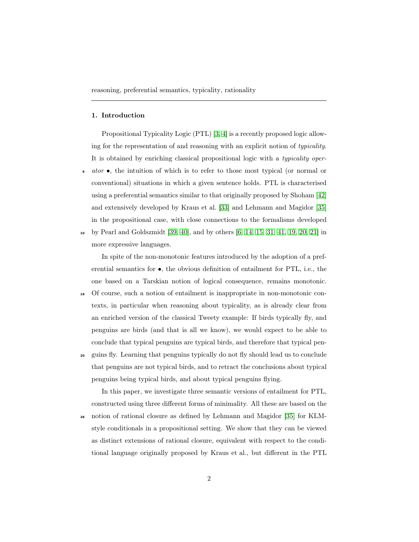#### 1. Introduction

Propositional Typicality Logic (PTL) [\[3,](#page-43-1) [4\]](#page-43-2) is a recently proposed logic allowing for the representation of and reasoning with an explicit notion of typicality. It is obtained by enriching classical propositional logic with a typicality oper- $\bullet$  ator  $\bullet$ , the intuition of which is to refer to those most typical (or normal or conventional) situations in which a given sentence holds. PTL is characterised using a preferential semantics similar to that originally proposed by Shoham [\[42\]](#page-47-0) and extensively developed by Kraus et al. [\[33\]](#page-46-0) and Lehmann and Magidor [\[35\]](#page-47-1) in the propositional case, with close connections to the formalisms developed <sup>10</sup> by Pearl and Goldszmidt [\[39,](#page-47-2) [40\]](#page-47-3), and by others [\[6,](#page-43-3) [14,](#page-44-0) [15,](#page-44-1) [31,](#page-46-1) [41,](#page-47-4) [19,](#page-45-0) [20,](#page-45-1) [21\]](#page-45-2) in

more expressive languages.

In spite of the non-monotonic features introduced by the adoption of a preferential semantics for •, the obvious definition of entailment for PTL, i.e., the one based on a Tarskian notion of logical consequence, remains monotonic.

- <sup>15</sup> Of course, such a notion of entailment is inappropriate in non-monotonic contexts, in particular when reasoning about typicality, as is already clear from an enriched version of the classical Tweety example: If birds typically fly, and penguins are birds (and that is all we know), we would expect to be able to conclude that typical penguins are typical birds, and therefore that typical pen-
- <sup>20</sup> guins fly. Learning that penguins typically do not fly should lead us to conclude that penguins are not typical birds, and to retract the conclusions about typical penguins being typical birds, and about typical penguins flying.

In this paper, we investigate three semantic versions of entailment for PTL, constructed using three different forms of minimality. All these are based on the

<sup>25</sup> notion of rational closure as defined by Lehmann and Magidor [\[35\]](#page-47-1) for KLMstyle conditionals in a propositional setting. We show that they can be viewed as distinct extensions of rational closure, equivalent with respect to the conditional language originally proposed by Kraus et al., but different in the PTL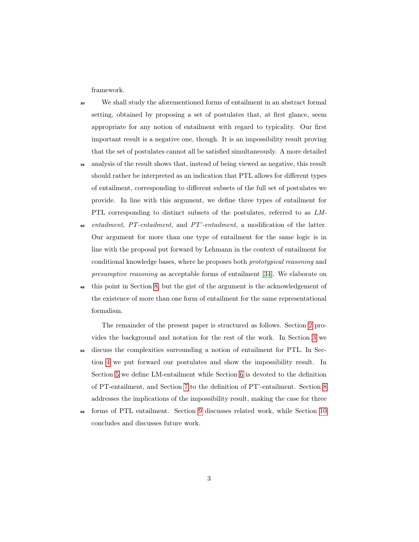framework.

- <sup>30</sup> We shall study the aforementioned forms of entailment in an abstract formal setting, obtained by proposing a set of postulates that, at first glance, seem appropriate for any notion of entailment with regard to typicality. Our first important result is a negative one, though. It is an impossibility result proving that the set of postulates cannot all be satisfied simultaneously. A more detailed
- <sup>35</sup> analysis of the result shows that, instead of being viewed as negative, this result should rather be interpreted as an indication that PTL allows for different types of entailment, corresponding to different subsets of the full set of postulates we provide. In line with this argument, we define three types of entailment for PTL corresponding to distinct subsets of the postulates, referred to as LM-
- <sup>40</sup> entailment, PT-entailment, and PT'-entailment, a modification of the latter. Our argument for more than one type of entailment for the same logic is in line with the proposal put forward by Lehmann in the context of entailment for conditional knowledge bases, where he proposes both prototypical reasoning and presumptive reasoning as acceptable forms of entailment [\[34\]](#page-47-5). We elaborate on
- <sup>45</sup> this point in Section [8,](#page-34-0) but the gist of the argument is the acknowledgement of the existence of more than one form of entailment for the same representational formalism.

The remainder of the present paper is structured as follows. Section [2](#page-4-0) provides the background and notation for the rest of the work. In Section [3](#page-10-0) we <sup>50</sup> discuss the complexities surrounding a notion of entailment for PTL. In Section [4](#page-12-0) we put forward our postulates and show the impossibility result. In Section [5](#page-18-0) we define LM-entailment while Section [6](#page-26-0) is devoted to the definition of PT-entailment, and Section [7](#page-31-0) to the definition of PT'-entailment. Section [8](#page-34-0) addresses the implications of the impossibility result, making the case for three

<sup>55</sup> forms of PTL entailment. Section [9](#page-37-0) discusses related work, while Section [10](#page-41-0) concludes and discusses future work.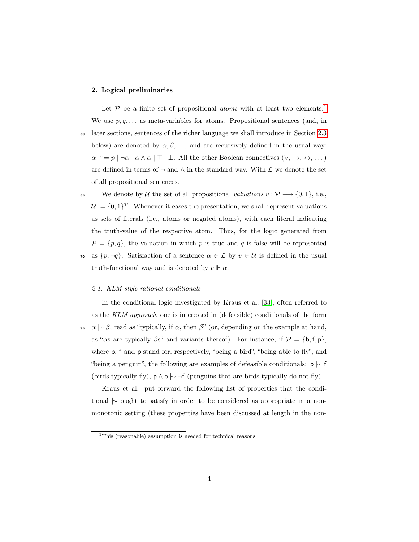#### <span id="page-4-0"></span>2. Logical preliminaries

Let  $P$  be a finite set of propositional *atoms* with at least two elements.<sup>[1](#page-4-1)</sup> We use  $p, q, \ldots$  as meta-variables for atoms. Propositional sentences (and, in <sup>60</sup> later sections, sentences of the richer language we shall introduce in Section [2.3](#page-8-0) below) are denoted by  $\alpha, \beta, \ldots$ , and are recursively defined in the usual way:  $\alpha\ ::=p\ |\ \neg\alpha\ |\ \alpha\wedge\alpha\ |\ \top\ |\ \bot.$  All the other Boolean connectives  $(\vee,\ \rightarrow,\ \leftrightarrow,\ \dots)$ are defined in terms of  $\neg$  and  $\wedge$  in the standard way. With  $\mathcal L$  we denote the set of all propositional sentences.

65 We denote by U the set of all propositional valuations  $v : \mathcal{P} \longrightarrow \{0,1\}$ , i.e.,  $\mathcal{U} := \{0,1\}^{\mathcal{P}}$ . Whenever it eases the presentation, we shall represent valuations as sets of literals (i.e., atoms or negated atoms), with each literal indicating the truth-value of the respective atom. Thus, for the logic generated from  $P = \{p, q\}$ , the valuation in which p is true and q is false will be represented <sup>70</sup> as  $\{p, \neg q\}$ . Satisfaction of a sentence  $\alpha \in \mathcal{L}$  by  $v \in \mathcal{U}$  is defined in the usual truth-functional way and is denoted by  $v \Vdash \alpha$ .

#### <span id="page-4-2"></span>2.1. KLM-style rational conditionals

In the conditional logic investigated by Kraus et al. [\[33\]](#page-46-0), often referred to as the KLM approach, one is interested in (defeasible) conditionals of the form <sup>75</sup>  $\alpha \sim \beta$ , read as "typically, if  $\alpha$ , then  $\beta$ " (or, depending on the example at hand, as " $\alpha$ s are typically  $\beta$ s" and variants thereof). For instance, if  $\mathcal{P} = \{\mathsf{b},\mathsf{f},\mathsf{p}\},\$ where b, f and p stand for, respectively, "being a bird", "being able to fly", and "being a penguin", the following are examples of defeasible conditionals:  $\mathbf{b} \setminus \mathbf{f}$ (birds typically fly),  $p \wedge b$   $\sim \neg f$  (penguins that are birds typically do not fly).

Kraus et al. put forward the following list of properties that the conditional |∼ ought to satisfy in order to be considered as appropriate in a nonmonotonic setting (these properties have been discussed at length in the non-

<span id="page-4-1"></span><sup>&</sup>lt;sup>1</sup>This (reasonable) assumption is needed for technical reasons.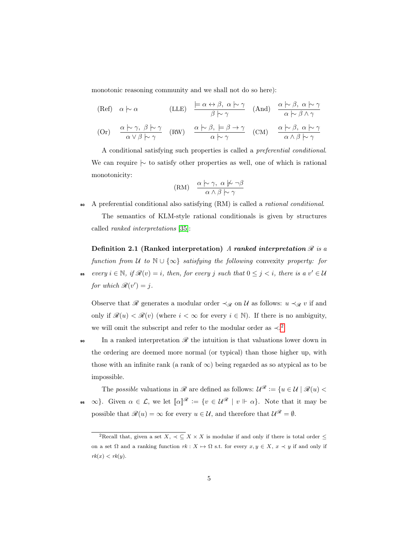monotonic reasoning community and we shall not do so here):

(Ref) 
$$
\alpha \sim \alpha
$$
 (LLE)  $\frac{\models \alpha \leftrightarrow \beta, \alpha \models \gamma}{\beta \models \gamma}$  (And)  $\frac{\alpha \models \beta, \alpha \models \gamma}{\alpha \models \beta \land \gamma}$   
 $\alpha \succ \gamma \quad \beta \succ \gamma$   $\alpha \succ \beta \quad \Rightarrow \gamma$   $\alpha \succ \beta \quad \alpha \succ \gamma$ 

$$
\text{(Or)} \quad \frac{\alpha \sim \gamma, \ \beta \sim \gamma}{\alpha \vee \beta \sim \gamma} \quad \text{(RW)} \quad \frac{\alpha \sim \beta, \ \models \beta \to \gamma}{\alpha \sim \gamma} \quad \text{(CM)} \quad \frac{\alpha \sim \beta, \ \alpha \sim \gamma}{\alpha \wedge \beta \sim \gamma}
$$

A conditional satisfying such properties is called a preferential conditional. We can require  $\sim$  to satisfy other properties as well, one of which is rational monotonicity:

$$
(RM) \quad \frac{\alpha \hspace{0.2em}\sim\hspace{-0.9em}\mid\hspace{0.58em} \gamma, \hspace{0.2em} \alpha \hspace{0.2em}\not\sim\hspace{-0.9em}\mid\hspace{0.58em} \neg \beta}{\alpha \wedge \beta \hspace{0.2em}\sim\hspace{-0.9em}\mid\hspace{0.58em}} \gamma
$$

<sup>80</sup> A preferential conditional also satisfying (RM) is called a rational conditional.

The semantics of KLM-style rational conditionals is given by structures called ranked interpretations [\[35\]](#page-47-1):

<span id="page-5-1"></span>Definition 2.1 (Ranked interpretation) A ranked interpretation  $\mathcal R$  is a function from U to  $\mathbb{N} \cup \{\infty\}$  satisfying the following convexity property: for **EXECUTE: EXECUTE: EXECUTE:**  $i, i \in \mathbb{Z}$  (v) = *i*, then, for every j such that  $0 \leq j \leq i$ , there is a  $v' \in \mathcal{U}$ for which  $\mathcal{R}(v') = j$ .

Observe that  $\mathscr R$  generates a modular order  $\prec_{\mathscr R}$  on  $\mathcal U$  as follows:  $u \prec_{\mathscr R} v$  if and only if  $\mathcal{R}(u) < \mathcal{R}(v)$  (where  $i < \infty$  for every  $i \in \mathbb{N}$ ). If there is no ambiguity, we will omit the subscript and refer to the modular order as  $\prec$ .<sup>[2](#page-5-0)</sup>

In a ranked interpretation  $\mathscr R$  the intuition is that valuations lower down in the ordering are deemed more normal (or typical) than those higher up, with those with an infinite rank (a rank of  $\infty$ ) being regarded as so atypical as to be impossible.

The possible valuations in  $\mathscr R$  are defined as follows:  $\mathcal U^{\mathscr R} := \{u \in \mathcal U \mid \mathscr R(u) \leq$  $\infty$ . Given  $\alpha \in \mathcal{L}$ , we let  $[\![\alpha]\!]^{\mathscr{R}} := \{v \in \mathcal{U}^{\mathscr{R}} \mid v \Vdash \alpha\}$ . Note that it may be possible that  $\mathscr{R}(u) = \infty$  for every  $u \in \mathcal{U}$ , and therefore that  $\mathcal{U}^{\mathscr{R}} = \emptyset$ .

<span id="page-5-0"></span><sup>&</sup>lt;sup>2</sup>Recall that, given a set  $X, \prec \subseteq X \times X$  is modular if and only if there is total order  $\leq$ on a set  $\Omega$  and a ranking function  $rk : X \mapsto \Omega$  s.t. for every  $x, y \in X$ ,  $x \prec y$  if and only if  $rk(x) < rk(y).$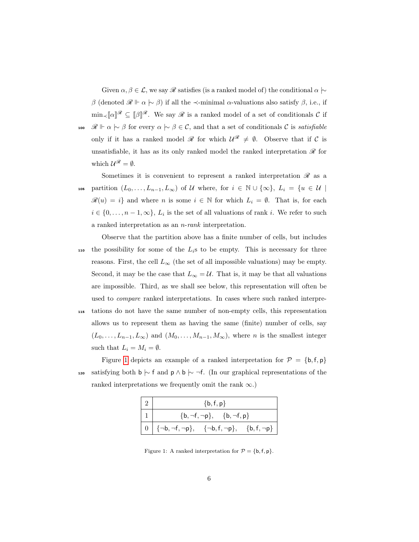Given  $\alpha, \beta \in \mathcal{L}$ , we say  $\mathcal R$  satisfies (is a ranked model of) the conditional  $\alpha \sim$ β (denoted  $\mathcal{R} \Vdash \alpha \succ \beta$ ) if all the ≺-minimal α-valuations also satisfy  $\beta$ , i.e., if  $\min_{\prec} [\![\alpha]\!]^{\mathscr{R}} \subseteq [\![\beta]\!]^{\mathscr{R}}$ . We say  $\mathscr{R}$  is a ranked model of a set of conditionals C if 100  $\mathcal{R} \Vdash \alpha \succ \beta$  for every  $\alpha \succ \beta \in \mathcal{C}$ , and that a set of conditionals  $\mathcal{C}$  is satisfiable only if it has a ranked model  $\mathcal{R}$  for which  $\mathcal{U}^{\mathcal{R}} \neq \emptyset$ . Observe that if C is unsatisfiable, it has as its only ranked model the ranked interpretation  $\mathscr R$  for which  $\mathcal{U}^{\mathcal{R}} = \emptyset$ .

Sometimes it is convenient to represent a ranked interpretation  $\mathscr R$  as a 105 partition  $(L_0, \ldots, L_{n-1}, L_{\infty})$  of U where, for  $i \in \mathbb{N} \cup \{\infty\}, L_i = \{u \in \mathcal{U} \mid$  $\mathscr{R}(u) = i$  and where n is some  $i \in \mathbb{N}$  for which  $L_i = \emptyset$ . That is, for each  $i \in \{0, \ldots, n-1, \infty\}, L_i$  is the set of all valuations of rank i. We refer to such a ranked interpretation as an n-rank interpretation.

Observe that the partition above has a finite number of cells, but includes 110 the possibility for some of the  $L_i$ s to be empty. This is necessary for three reasons. First, the cell  $L_{\infty}$  (the set of all impossible valuations) may be empty. Second, it may be the case that  $L_{\infty} = U$ . That is, it may be that all valuations are impossible. Third, as we shall see below, this representation will often be used to compare ranked interpretations. In cases where such ranked interpre-<sup>115</sup> tations do not have the same number of non-empty cells, this representation allows us to represent them as having the same (finite) number of cells, say

 $(L_0, \ldots, L_{n-1}, L_{\infty})$  and  $(M_0, \ldots, M_{n-1}, M_{\infty})$ , where *n* is the smallest integer such that  $L_i = M_i = \emptyset$ .

Figure [1](#page-6-0) depicts an example of a ranked interpretation for  $P = \{b, f, p\}$ 120 satisfying both b  $\vdash$  f and p  $\land$  b  $\vdash$  ¬f. (In our graphical representations of the ranked interpretations we frequently omit the rank  $\infty$ .)

| $\{b, f, p\}$                                                            |  |  |  |
|--------------------------------------------------------------------------|--|--|--|
| $\{b, \neg f, \neg p\}, \{b, \neg f, p\}$                                |  |  |  |
| $  0   \{-b, \neg f, \neg p\}, \{ \neg b, f, \neg p\}, \{b, f, \neg p\}$ |  |  |  |

<span id="page-6-0"></span>Figure 1: A ranked interpretation for  $\mathcal{P} = \{\mathsf{b},\mathsf{f},\mathsf{p}\}.$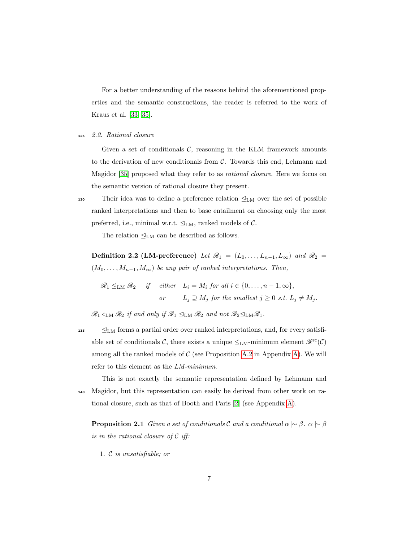For a better understanding of the reasons behind the aforementioned properties and the semantic constructions, the reader is referred to the work of Kraus et al. [\[33,](#page-46-0) [35\]](#page-47-1).

<span id="page-7-0"></span><sup>125</sup> 2.2. Rational closure

Given a set of conditionals  $C$ , reasoning in the KLM framework amounts to the derivation of new conditionals from C. Towards this end, Lehmann and Magidor [\[35\]](#page-47-1) proposed what they refer to as rational closure. Here we focus on the semantic version of rational closure they present.

130 Their idea was to define a preference relation  $\mathcal{Q}_{LM}$  over the set of possible ranked interpretations and then to base entailment on choosing only the most preferred, i.e., minimal w.r.t.  $\mathcal{Q}_{LM}$ , ranked models of  $\mathcal{C}$ .

The relation  $\mathcal{Q}_{LM}$  can be described as follows.

Definition 2.2 (LM-preference) Let  $\mathcal{R}_1 = (L_0, \ldots, L_{n-1}, L_{\infty})$  and  $\mathcal{R}_2 =$  $(M_0, \ldots, M_{n-1}, M_\infty)$  be any pair of ranked interpretations. Then,

 $\mathscr{R}_1 \subseteq_{LM} \mathscr{R}_2$  if either  $L_i = M_i$  for all  $i \in \{0, ..., n-1, \infty\},$ or  $L_i \supseteq M_j$  for the smallest  $j \geq 0$  s.t.  $L_j \neq M_j$ .

 $\mathscr{R}_1 \triangleleft_{\text{LM}} \mathscr{R}_2 \textit{ if and only if } \mathscr{R}_1 \trianglelefteq_{\text{LM}} \mathscr{R}_2 \textit{ and not } \mathscr{R}_2 \trianglelefteq_{\text{LM}} \mathscr{R}_1.$ 

 $135 \qquad \leq_{LM}$  forms a partial order over ranked interpretations, and, for every satisfiable set of conditionals C, there exists a unique  $\mathcal{L}_{LM}$ -minimum element  $\mathcal{R}^{\text{rc}}(\mathcal{C})$ among all the ranked models of  $\mathcal C$  (see Proposition [A.2](#page-49-0) in Appendix [A\)](#page-48-0). We will refer to this element as the LM-minimum.

This is not exactly the semantic representation defined by Lehmann and <sup>140</sup> Magidor, but this representation can easily be derived from other work on rational closure, such as that of Booth and Paris [\[2\]](#page-42-0) (see Appendix [A\)](#page-48-0).

<span id="page-7-1"></span>**Proposition 2.1** Given a set of conditionals C and a conditional  $\alpha \succ \beta$ .  $\alpha \succ \beta$ is in the rational closure of  $\mathcal C$  iff:

1. C is unsatisfiable; or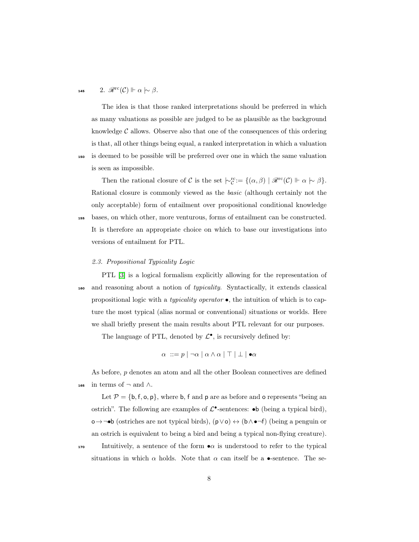#### 145 2.  $\mathscr{R}^{\rm rc}(\mathcal{C}) \Vdash \alpha \hspace{0.2em}\sim\hspace{-0.9em}\mid\hspace{0.58em} \beta.$

The idea is that those ranked interpretations should be preferred in which as many valuations as possible are judged to be as plausible as the background knowledge  $\mathcal C$  allows. Observe also that one of the consequences of this ordering is that, all other things being equal, a ranked interpretation in which a valuation <sup>150</sup> is deemed to be possible will be preferred over one in which the same valuation is seen as impossible.

Then the rational closure of C is the set  $\vert \sim_C^{rc} := \{(\alpha, \beta) \mid \mathscr{R}^{rc}(\mathcal{C}) \Vdash \alpha \vert \sim \beta\}.$ Rational closure is commonly viewed as the basic (although certainly not the only acceptable) form of entailment over propositional conditional knowledge

<sup>155</sup> bases, on which other, more venturous, forms of entailment can be constructed. It is therefore an appropriate choice on which to base our investigations into versions of entailment for PTL.

#### <span id="page-8-0"></span>2.3. Propositional Typicality Logic

PTL [\[3\]](#page-43-1) is a logical formalism explicitly allowing for the representation of <sup>160</sup> and reasoning about a notion of typicality. Syntactically, it extends classical propositional logic with a *typicality operator*  $\bullet$ , the intuition of which is to capture the most typical (alias normal or conventional) situations or worlds. Here we shall briefly present the main results about PTL relevant for our purposes.

The language of PTL, denoted by  $\mathcal{L}^{\bullet}$ , is recursively defined by:

$$
\alpha ::= p \mid \neg \alpha \mid \alpha \wedge \alpha \mid \top \mid \bot \mid \bullet \alpha
$$

As before, p denotes an atom and all the other Boolean connectives are defined 165 in terms of  $\neg$  and  $\wedge$ .

Let  $P = \{b, f, o, p\}$ , where b, f and p are as before and o represents "being an ostrich". The following are examples of  $\mathcal{L}^{\bullet}$ -sentences:  $\bullet$ b (being a typical bird), o→¬•b (ostriches are not typical birds), (p∨o) ↔ (b∧ •¬f) (being a penguin or an ostrich is equivalent to being a bird and being a typical non-flying creature).

170 Intuitively, a sentence of the form  $\bullet \alpha$  is understood to refer to the typical situations in which  $\alpha$  holds. Note that  $\alpha$  can itself be a •-sentence. The se-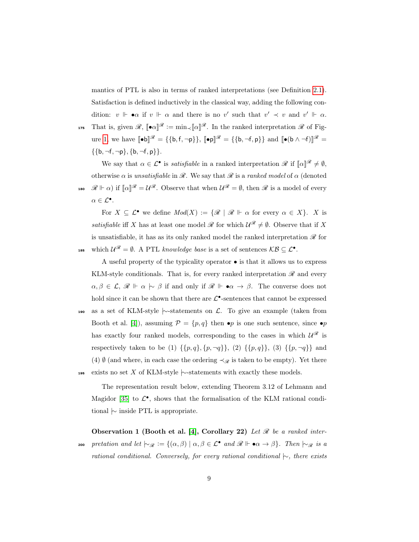mantics of PTL is also in terms of ranked interpretations (see Definition [2.1\)](#page-5-1). Satisfaction is defined inductively in the classical way, adding the following condition:  $v \Vdash \bullet \alpha$  if  $v \Vdash \alpha$  and there is no v' such that  $v' \prec v$  and  $v' \Vdash \alpha$ . 175 That is, given  $\mathscr{R}$ ,  $[\![\bullet\alpha]\!]^{\mathscr{R}} := \min_{\prec} [\![\alpha]\!]^{\mathscr{R}}$ . In the ranked interpretation  $\mathscr{R}$  of Fig-

ure [1,](#page-6-0) we have  $\llbracket \bullet \mathbf{b} \rrbracket^{\mathscr{R}} = \{\{\mathbf{b},\mathbf{f},\neg \mathbf{p}\}\}\$   $\llbracket \bullet \mathbf{p} \rrbracket^{\mathscr{R}} = \{\{\mathbf{b},\neg \mathbf{f},\mathbf{p}\}\}\$  and  $\llbracket \bullet (\mathbf{b} \wedge \neg \mathbf{f}) \rrbracket^{\mathscr{R}} = \mathbb{E}[\mathbf{b},\mathbf{f},\mathbf{p}\}]$  $\{\{b, \neg f, \neg p\}, \{b, \neg f, p\}\}.$ 

We say that  $\alpha \in \mathcal{L}^{\bullet}$  is *satisfiable* in a ranked interpretation  $\mathscr{R}$  if  $[\![\alpha]\!]^{\mathscr{R}} \neq \emptyset$ , otherwise  $\alpha$  is unsatisfiable in  $\mathscr R$ . We say that  $\mathscr R$  is a ranked model of  $\alpha$  (denoted 180  $\mathscr{R} \Vdash \alpha$ ) if  $[\![\alpha]\!]^{\mathscr{R}} = \mathcal{U}^{\mathscr{R}}$ . Observe that when  $\mathcal{U}^{\mathscr{R}} = \emptyset$ , then  $\mathscr{R}$  is a model of every  $\alpha \in \mathcal{L}^{\bullet}.$ 

For  $X \subseteq \mathcal{L}^{\bullet}$  we define  $Mod(X) := \{ \mathcal{R} \mid \mathcal{R} \Vdash \alpha \text{ for every } \alpha \in X \}.$  X is satisfiable iff X has at least one model  $\mathscr R$  for which  $\mathcal U^{\mathscr R}\neq \emptyset$ . Observe that if X is unsatisfiable, it has as its only ranked model the ranked interpretation  $\mathscr R$  for 185 which  $\mathcal{U}^{\mathscr{R}} = \emptyset$ . A PTL knowledge base is a set of sentences  $\mathcal{KB} \subseteq \mathcal{L}^{\bullet}$ .

A useful property of the typicality operator  $\bullet$  is that it allows us to express KLM-style conditionals. That is, for every ranked interpretation  $\mathscr R$  and every  $\alpha, \beta \in \mathcal{L}, \mathcal{R} \Vdash \alpha \hspace{0.2em}\sim\hspace{0.2em}\mid\hspace{0.58em} \beta$  if and only if  $\mathcal{R} \Vdash \bullet \alpha \to \beta$ . The converse does not hold since it can be shown that there are  $\mathcal{L}^{\bullet}$ -sentences that cannot be expressed <sup>190</sup> as a set of KLM-style |∼-statements on L. To give an example (taken from Booth et al. [\[4\]](#page-43-2)), assuming  $\mathcal{P} = \{p, q\}$  then  $\bullet p$  is one such sentence, since  $\bullet p$ has exactly four ranked models, corresponding to the cases in which  $\mathcal{U}^{\mathscr{R}}$  is respectively taken to be (1)  $\{\{p,q\},\{p,\neg q\}\}\,$ , (2)  $\{\{p,q\}\}\,$ , (3)  $\{\{p,\neg q\}\}\,$  and (4) Ø (and where, in each case the ordering  $\prec_{\mathscr{R}}$  is taken to be empty). Yet there 195 exists no set X of KLM-style  $\sim$ -statements with exactly these models.

The representation result below, extending Theorem 3.12 of Lehmann and Magidor [\[35\]](#page-47-1) to  $\mathcal{L}^{\bullet}$ , shows that the formalisation of the KLM rational conditional  $\sim$  inside PTL is appropriate.

Observation 1 (Booth et al. [\[4\]](#page-43-2), Corollary 22) Let  $\mathscr R$  be a ranked inter-200 pretation and let  $\mid \sim_{\mathscr{R}} := \{(\alpha, \beta) \mid \alpha, \beta \in \mathcal{L}^{\bullet} \text{ and } \mathscr{R} \Vdash \bullet \alpha \to \beta\}.$  Then  $\mid \sim_{\mathscr{R}}$  is a rational conditional. Conversely, for every rational conditional  $\sim$ , there exists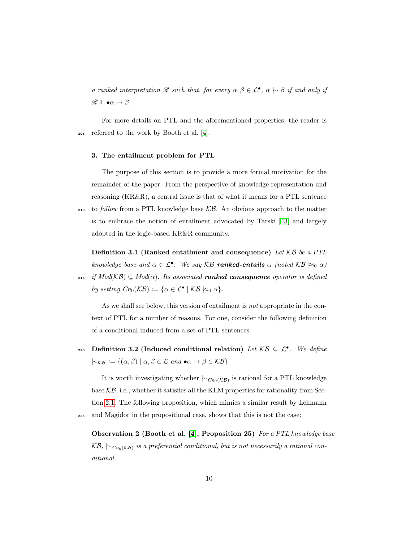a ranked interpretation  $\mathscr R$  such that, for every  $\alpha, \beta \in \mathcal L^{\bullet}$ ,  $\alpha \hspace{0.2em}\sim\hspace{0.2em}\mid\hspace{0.58em} \beta$  if and only if  $\mathscr{R} \Vdash \bullet \alpha \to \beta.$ 

For more details on PTL and the aforementioned properties, the reader is <sup>205</sup> referred to the work by Booth et al. [\[4\]](#page-43-2).

#### <span id="page-10-0"></span>3. The entailment problem for PTL

The purpose of this section is to provide a more formal motivation for the remainder of the paper. From the perspective of knowledge representation and reasoning (KR&R), a central issue is that of what it means for a PTL sentence

 $_{210}$  to follow from a PTL knowledge base KB. An obvious approach to the matter is to embrace the notion of entailment advocated by Tarski [\[43\]](#page-47-6) and largely adopted in the logic-based KR&R community.

<span id="page-10-1"></span>**Definition 3.1 (Ranked entailment and consequence)** Let  $KB$  be a PTL knowledge base and  $\alpha \in \mathcal{L}^{\bullet}$ . We say KB ranked-entails  $\alpha$  (noted KB  $\approx_{0} \alpha$ ) 215 if  $Mod(K\mathcal{B}) \subseteq Mod(\alpha)$ . Its associated **ranked consequence** operator is defined by setting  $Cn_0(\mathcal{KB}) := {\alpha \in \mathcal{L}^{\bullet} \mid \mathcal{KB} \succcurlyeq_{0} \alpha}.$ 

As we shall see below, this version of entailment is *not* appropriate in the context of PTL for a number of reasons. For one, consider the following definition of a conditional induced from a set of PTL sentences.

<span id="page-10-2"></span>220 Definition 3.2 (Induced conditional relation) Let  $\mathcal{KB} \subseteq \mathcal{L}^{\bullet}$ . We define  $\sim_{\mathcal{KB}} := \{(\alpha, \beta) \mid \alpha, \beta \in \mathcal{L} \text{ and } \bullet \alpha \to \beta \in \mathcal{KB}\}.$ 

It is worth investigating whether  $\mid \sim_{Cn_0(\mathcal{KB})}$  is rational for a PTL knowledge base  $KB$ , i.e., whether it satisfies all the KLM properties for rationality from Section [2.1.](#page-4-2) The following proposition, which mimics a similar result by Lehmann <sup>225</sup> and Magidor in the propositional case, shows that this is not the case:

Observation 2 (Booth et al. [\[4\]](#page-43-2), Proposition 25) For a PTL knowledge base  $\mathcal{KB}, \, \mathord{\sim_{Cn_0(\mathcal{KB})}}$  is a preferential conditional, but is not necessarily a rational conditional.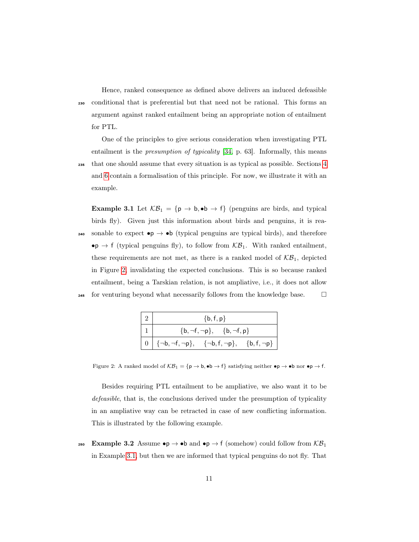Hence, ranked consequence as defined above delivers an induced defeasible <sup>230</sup> conditional that is preferential but that need not be rational. This forms an argument against ranked entailment being an appropriate notion of entailment for PTL.

One of the principles to give serious consideration when investigating PTL entailment is the presumption of typicality [\[34,](#page-47-5) p. 63]. Informally, this means <sup>235</sup> that one should assume that every situation is as typical as possible. Sections [4](#page-12-0) and [6](#page-26-0) contain a formalisation of this principle. For now, we illustrate it with an example.

<span id="page-11-1"></span>**Example 3.1** Let  $KB_1 = \{p \rightarrow b, \bullet b \rightarrow f\}$  (penguins are birds, and typical birds fly). Given just this information about birds and penguins, it is rea-240 sonable to expect  $\bullet p \rightarrow \bullet b$  (typical penguins are typical birds), and therefore  $\bullet$   $\mathsf{p} \to \mathsf{f}$  (typical penguins fly), to follow from  $\mathcal{KB}_1$ . With ranked entailment, these requirements are not met, as there is a ranked model of  $K\mathcal{B}_1$ , depicted in Figure [2,](#page-11-0) invalidating the expected conclusions. This is so because ranked entailment, being a Tarskian relation, is not ampliative, i.e., it does not allow 245 for venturing beyond what necessarily follows from the knowledge base.  $\square$ 

| $\{b, f, p\}$                                                                     |  |  |  |
|-----------------------------------------------------------------------------------|--|--|--|
| $\{b, \neg f, \neg p\}, \{b, \neg f, p\}$                                         |  |  |  |
| $\begin{array}{ c c c } \hline 0 & \end{array}$ {¬b, ¬f, ¬p}, $\hline$ {b, f, ¬p} |  |  |  |

<span id="page-11-0"></span>Figure 2: A ranked model of  $\mathcal{KB}_1 = \{p \to b, \bullet b \to f\}$  satisfying neither  $\bullet p \to \bullet b$  nor  $\bullet p \to f$ .

Besides requiring PTL entailment to be ampliative, we also want it to be defeasible, that is, the conclusions derived under the presumption of typicality in an ampliative way can be retracted in case of new conflicting information. This is illustrated by the following example.

<span id="page-11-2"></span>250 Example 3.2 Assume  $\bullet p \to \bullet b$  and  $\bullet p \to f$  (somehow) could follow from  $\mathcal{KB}_1$ in Example [3.1,](#page-11-1) but then we are informed that typical penguins do not fly. That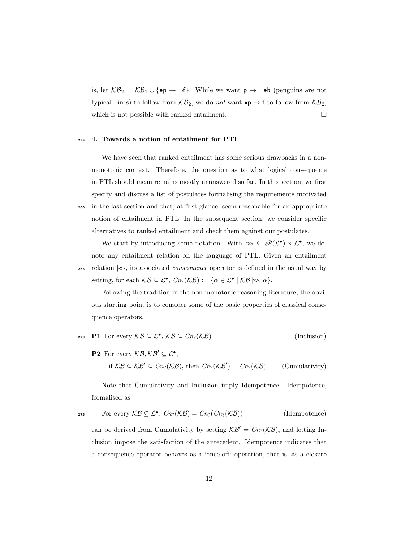is, let  $KB_2 = KB_1 \cup \{\bullet \rho \rightarrow \neg f\}$ . While we want  $p \rightarrow \neg \bullet b$  (penguins are not typical birds) to follow from  $\mathcal{KB}_2$ , we do not want  $\bullet p \to f$  to follow from  $\mathcal{KB}_2$ , which is not possible with ranked entailment.  $\Box$ 

#### <span id="page-12-0"></span><sup>255</sup> 4. Towards a notion of entailment for PTL

We have seen that ranked entailment has some serious drawbacks in a nonmonotonic context. Therefore, the question as to what logical consequence in PTL should mean remains mostly unanswered so far. In this section, we first specify and discuss a list of postulates formalising the requirements motivated <sup>260</sup> in the last section and that, at first glance, seem reasonable for an appropriate notion of entailment in PTL. In the subsequent section, we consider specific alternatives to ranked entailment and check them against our postulates.

We start by introducing some notation. With  $\approx_? \subseteq \mathscr{P}(\mathcal{L}^{\bullet}) \times \mathcal{L}^{\bullet}$ , we denote any entailment relation on the language of PTL. Given an entailment 265 relation  $\approx_?$ , its associated *consequence* operator is defined in the usual way by setting, for each  $\mathcal{KB} \subseteq \mathcal{L}^\bullet$ ,  $Cn_?(\mathcal{KB}) := {\alpha \in \mathcal{L}^\bullet \mid \mathcal{KB} \succcurlyeq_{?} \alpha}.$ 

Following the tradition in the non-monotonic reasoning literature, the obvious starting point is to consider some of the basic properties of classical consequence operators.

$$
\text{270 } \text{P1 For every } \mathcal{KB} \subseteq \mathcal{L}^{\bullet}, \mathcal{KB} \subseteq \text{Cn}_?(\mathcal{KB}) \tag{Inclusion}
$$

**P2** For every  $KB, KB' \subseteq \mathcal{L}^{\bullet},$ 

if  $KB \subseteq KB' \subseteq Cn_?(\mathcal{KB})$ , then  $Cn_?(\mathcal{KB}') = Cn_?(\mathcal{KB})$  $(Cumularity)$ 

Note that Cumulativity and Inclusion imply Idempotence. Idempotence, formalised as

$$
\text{For every } \mathcal{KB} \subseteq \mathcal{L}^{\bullet}, \text{ } \text{C}_{n_?}(\mathcal{KB}) = \text{C}_{n_?}(\text{C}_{n_?}(\mathcal{KB})) \tag{Idempotence}
$$

can be derived from Cumulativity by setting  $\mathcal{KB}' = Cn_?(\mathcal{KB})$ , and letting Inclusion impose the satisfaction of the antecedent. Idempotence indicates that a consequence operator behaves as a 'once-off' operation, that is, as a closure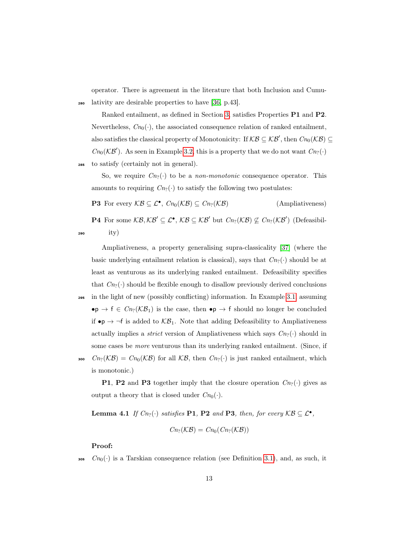operator. There is agreement in the literature that both Inclusion and Cumu-<sup>280</sup> lativity are desirable properties to have [\[36,](#page-47-7) p.43].

Ranked entailment, as defined in Section [3,](#page-10-0) satisfies Properties P1 and P2. Nevertheless,  $Cn_0(\cdot)$ , the associated consequence relation of ranked entailment, also satisfies the classical property of Monotonicity: If  $KB \subseteq KB'$ , then  $Cn_0(KB) \subseteq$  $Cn_0(\mathcal{KB}')$ . As seen in Example [3.2,](#page-11-2) this is a property that we do not want  $Cn_?(\cdot)$ <sup>285</sup> to satisfy (certainly not in general).

So, we require  $C_{n}(\cdot)$  to be a *non-monotonic* consequence operator. This amounts to requiring  $C_{n}(\cdot)$  to satisfy the following two postulates:

**P3** For every  $\mathcal{KB} \subseteq \mathcal{L}^{\bullet}$ ,  $Cn_0(\mathcal{KB}) \subseteq Cn_?(\mathcal{KB})$  (Ampliativeness)

**P4** For some  $KB, KB' \subseteq L^{\bullet}, KB \subseteq KB'$  but  $Cn_?(\mathcal{KB}) \not\subseteq Cn_?(\mathcal{KB}')$  (Defeasibil- $290$  ity)

Ampliativeness, a property generalising supra-classicality [\[37\]](#page-47-8) (where the basic underlying entailment relation is classical), says that  $C_{n}(\cdot)$  should be at least as venturous as its underlying ranked entailment. Defeasibility specifies that  $C_{n}(\cdot)$  should be flexible enough to disallow previously derived conclusions

<sup>295</sup> in the light of new (possibly conflicting) information. In Example [3.1,](#page-11-1) assuming  $\bullet p \to f \in Cn_?(\mathcal{KB}_1)$  is the case, then  $\bullet p \to f$  should no longer be concluded if  $\bullet p \rightarrow \neg f$  is added to  $\mathcal{KB}_1$ . Note that adding Defeasibility to Ampliativeness actually implies a *strict* version of Ampliativeness which says  $C_{n_2}(\cdot)$  should in some cases be more venturous than its underlying ranked entailment. (Since, if 300  $C_{n}(\mathcal{KB}) = C_{n_0}(\mathcal{KB})$  for all  $\mathcal{KB}$ , then  $C_{n_2}(\cdot)$  is just ranked entailment, which is monotonic.)

**P1, P2** and **P3** together imply that the closure operation  $C_{n_2}(\cdot)$  gives as output a theory that is closed under  $Cn_0(\cdot)$ .

<span id="page-13-0"></span>**Lemma 4.1** If  $C_{n_?}(\cdot)$  satisfies **P1**, **P2** and **P3**, then, for every  $KB \subseteq \mathcal{L}^{\bullet}$ ,

$$
Cn_?(\mathcal{KB})=Cn_0(Cn_?(\mathcal{KB}))
$$

Proof:

 $\mathcal{C}_{n_0}(\cdot)$  is a Tarskian consequence relation (see Definition [3.1\)](#page-10-1), and, as such, it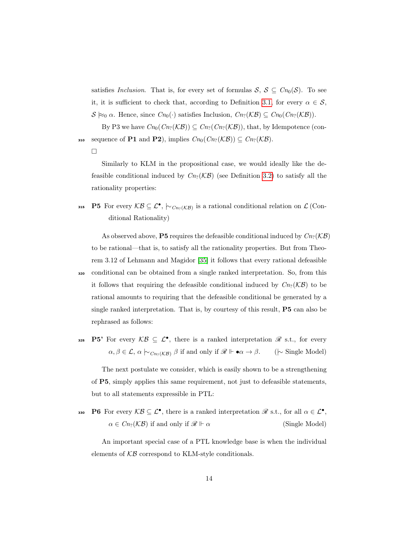satisfies Inclusion. That is, for every set of formulas  $S, S \subseteq C_{n_0}(S)$ . To see it, it is sufficient to check that, according to Definition [3.1,](#page-10-1) for every  $\alpha \in \mathcal{S}$ ,  $S \approx_0 \alpha$ . Hence, since  $Cn_0(\cdot)$  satisfies Inclusion,  $Cn_2(\mathcal{KB}) \subseteq Cn_0(Cn_2(\mathcal{KB}))$ .

By P3 we have  $Cn_0(Cn_2(\mathcal{KB})) \subseteq Cn_2(Cn_2(\mathcal{KB}))$ , that, by Idempotence (con-310 sequence of P1 and P2), implies  $Cn_0(Cn_2(\mathcal{KB})) \subseteq Cn_2(\mathcal{KB}).$ 

 $\Box$ 

Similarly to KLM in the propositional case, we would ideally like the defeasible conditional induced by  $C_{n}(\mathcal{KB})$  (see Definition [3.2\)](#page-10-2) to satisfy all the rationality properties:

315 **P5** For every  $KB \subseteq \mathcal{L}^{\bullet}$ ,  $\sim_{Cn_?(\mathcal{KB})}$  is a rational conditional relation on  $\mathcal{L}$  (Conditional Rationality)

As observed above, **P5** requires the defeasible conditional induced by  $C_{n}(\mathcal{KB})$ to be rational—that is, to satisfy all the rationality properties. But from Theorem 3.12 of Lehmann and Magidor [\[35\]](#page-47-1) it follows that every rational defeasible <sup>320</sup> conditional can be obtained from a single ranked interpretation. So, from this it follows that requiring the defeasible conditional induced by  $C_{n}(\mathcal{KB})$  to be rational amounts to requiring that the defeasible conditional be generated by a single ranked interpretation. That is, by courtesy of this result, P5 can also be rephrased as follows:

325 **P5'** For every  $KB \subseteq \mathcal{L}^{\bullet}$ , there is a ranked interpretation  $\mathscr{R}$  s.t., for every  $\alpha, \beta \in \mathcal{L}, \alpha \hspace{0.2em}\sim\hspace{-0.9em}\mid\hspace{0.58em} c_{n_{?}(\mathcal{KB})} \hspace{0.2em}\beta$  if and only if  $\mathcal{R} \Vdash \bullet \alpha \to \beta$ . ( $\hspace{0.2em}\sim\hspace{-0.9em}\mid\hspace{0.58em}$  Single Model)

The next postulate we consider, which is easily shown to be a strengthening of P5, simply applies this same requirement, not just to defeasible statements, but to all statements expressible in PTL:

330 **P6** For every  $KB \subseteq \mathcal{L}^{\bullet}$ , there is a ranked interpretation  $\mathscr{R}$  s.t., for all  $\alpha \in \mathcal{L}^{\bullet}$ ,  $\alpha \in C_{n_?}(\mathcal{KB})$  if and only if  $\mathcal{R} \Vdash \alpha$  (Single Model)

An important special case of a PTL knowledge base is when the individual elements of  $KB$  correspond to KLM-style conditionals.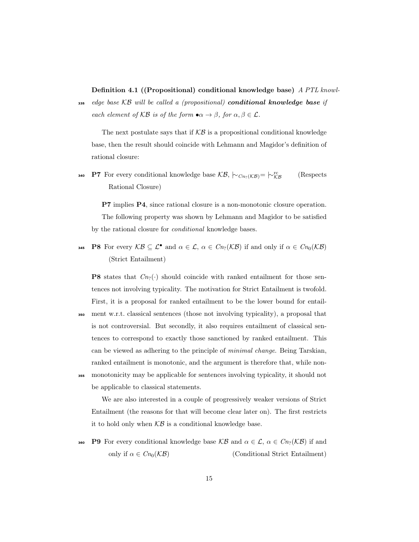Definition 4.1 ((Propositional) conditional knowledge base) A PTL knowl-

 $_{335}$  edge base KB will be called a (propositional) conditional knowledge base if each element of KB is of the form  $\bullet \alpha \to \beta$ , for  $\alpha, \beta \in \mathcal{L}$ .

The next postulate says that if  $KB$  is a propositional conditional knowledge base, then the result should coincide with Lehmann and Magidor's definition of rational closure:

**P7** For every conditional knowledge base  $\mathcal{KB}$ ,  $\mid \sim_{Cn?(\mathcal{KB})} = \mid \sim_{\mathcal{KB}}^{rc}$  (Respects Rational Closure)

P7 implies P4, since rational closure is a non-monotonic closure operation. The following property was shown by Lehmann and Magidor to be satisfied by the rational closure for conditional knowledge bases.

**945** P8 For every  $\mathcal{KB} \subseteq \mathcal{L}^{\bullet}$  and  $\alpha \in \mathcal{L}$ ,  $\alpha \in C_{n_2}(\mathcal{KB})$  if and only if  $\alpha \in C_{n_0}(\mathcal{KB})$ (Strict Entailment)

**P8** states that  $C_{n}(\cdot)$  should coincide with ranked entailment for those sentences not involving typicality. The motivation for Strict Entailment is twofold. First, it is a proposal for ranked entailment to be the lower bound for entail-<sup>350</sup> ment w.r.t. classical sentences (those not involving typicality), a proposal that is not controversial. But secondly, it also requires entailment of classical sentences to correspond to exactly those sanctioned by ranked entailment. This can be viewed as adhering to the principle of minimal change. Being Tarskian, ranked entailment is monotonic, and the argument is therefore that, while non-

<sup>355</sup> monotonicity may be applicable for sentences involving typicality, it should not be applicable to classical statements.

We are also interested in a couple of progressively weaker versions of Strict Entailment (the reasons for that will become clear later on). The first restricts it to hold only when  $KB$  is a conditional knowledge base.

**360** P9 For every conditional knowledge base  $KB$  and  $\alpha \in \mathcal{L}$ ,  $\alpha \in C_n(\mathcal{KB})$  if and only if  $\alpha \in Cn_0(\mathcal{KB})$  (Conditional Strict Entailment)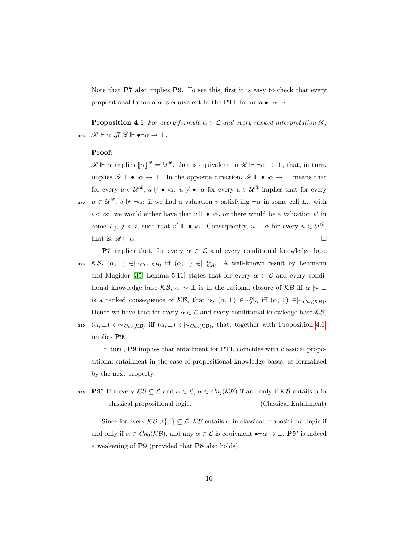<span id="page-16-0"></span>Note that **P7** also implies **P9**. To see this, first it is easy to check that every propositional formula  $\alpha$  is equivalent to the PTL formula  $\bullet \neg \alpha \to \bot$ .

**Proposition 4.1** For every formula  $\alpha \in \mathcal{L}$  and every ranked interpretation  $\mathcal{R}$ , 365  $\mathscr{R} \Vdash \alpha$  iff  $\mathscr{R} \Vdash \bullet \neg \alpha \to \bot$ .

#### Proof:

 $\mathscr{R} \Vdash \alpha$  implies  $[\![\alpha]\!]^{\mathscr{R}} = \mathcal{U}^{\mathscr{R}}$ , that is equivalent to  $\mathscr{R} \Vdash \neg \alpha \to \bot$ , that, in turn, implies  $\mathscr{R} \Vdash \bullet \neg \alpha \to \bot$ . In the opposite direction,  $\mathscr{R} \Vdash \bullet \neg \alpha \to \bot$  means that for every  $u \in \mathcal{U}^{\mathscr{R}}, u \not\models \bullet \neg \alpha$ .  $u \not\models \bullet \neg \alpha$  for every  $u \in \mathcal{U}^{\mathscr{R}}$  implies that for every

- **370**  $u \in \mathcal{U}^{\mathscr{R}}, u \not\vdash \neg \alpha$ : if we had a valuation v satisfying  $\neg \alpha$  in some cell  $L_i$ , with  $i < \infty$ , we would either have that  $v \Vdash \bullet \neg \alpha$ , or there would be a valuation  $v'$  in some  $L_j$ ,  $j < i$ , such that  $v' \Vdash \bullet \neg \alpha$ . Consequently,  $u \Vdash \alpha$  for every  $u \in \mathcal{U}^{\mathscr{R}}$ , that is,  $\mathscr{R} \Vdash \alpha$ .
- **P7** implies that, for every  $\alpha \in \mathcal{L}$  and every conditional knowledge base 375  $KB, (\alpha, \perp) \in \sim_{Cn_?(\mathcal{KB})} \text{iff } (\alpha, \perp) \in \sim_{\mathcal{KB}}^{\text{rc}}.$  A well-known result by Lehmann and Magidor [\[35,](#page-47-1) Lemma 5.16] states that for every  $\alpha \in \mathcal{L}$  and every conditional knowledge base  $\mathcal{KB}, \alpha \upharpoonright \bot$  is in the rational closure of  $\mathcal{KB}$  iff  $\alpha \upharpoonright \bot$ is a ranked consequence of  $\mathcal{KB}$ , that is,  $(\alpha, \perp) \in \sim_{\mathcal{KB}}^{\mathop{\text{rc}}\nolimits}$  iff  $(\alpha, \perp) \in \sim_{Cn_0(\mathcal{KB})}$ . Hence we have that for every  $\alpha \in \mathcal{L}$  and every conditional knowledge base  $\mathcal{KB},$ 380  $(\alpha, \perp) \in \sim_{Cn_?(\mathcal{KB})}$  iff  $(\alpha, \perp) \in \sim_{Cn_0(\mathcal{KB})}$ , that, together with Proposition [4.1,](#page-16-0) implies P9.

In turn, P9 implies that entailment for PTL coincides with classical propositional entailment in the case of propositional knowledge bases, as formalised by the next property.

385 P9' For every  $\mathcal{KB} \subseteq \mathcal{L}$  and  $\alpha \in \mathcal{L}$ ,  $\alpha \in C_{n}(\mathcal{KB})$  if and only if  $\mathcal{KB}$  entails  $\alpha$  in classical propositional logic. (Classical Entailment)

Since for every  $\mathcal{KB} \cup \{\alpha\} \subseteq \mathcal{L}, \mathcal{KB}$  entails  $\alpha$  in classical propositional logic if and only if  $\alpha \in Cn_0(\mathcal{KB})$ , and any  $\alpha \in \mathcal{L}$  is equivalent  $\bullet \neg \alpha \to \bot$ , **P9'** is indeed a weakening of P9 (provided that P8 also holds).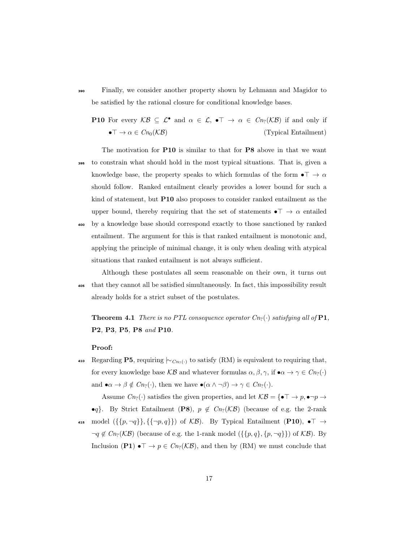- <sup>390</sup> Finally, we consider another property shown by Lehmann and Magidor to be satisfied by the rational closure for conditional knowledge bases.
	- **P10** For every  $\mathcal{KB} \subseteq \mathcal{L}^{\bullet}$  and  $\alpha \in \mathcal{L}$ ,  $\bullet \top \rightarrow \alpha \in Cn_{?}(\mathcal{KB})$  if and only if  $\bullet \top \to \alpha \in C_{n_0}(\mathcal{KB})$  (Typical Entailment)

The motivation for P10 is similar to that for P8 above in that we want <sup>395</sup> to constrain what should hold in the most typical situations. That is, given a knowledge base, the property speaks to which formulas of the form  $\bullet$   $\top \to \alpha$ should follow. Ranked entailment clearly provides a lower bound for such a kind of statement, but P10 also proposes to consider ranked entailment as the upper bound, thereby requiring that the set of statements  $\bullet$   $\top \rightarrow \alpha$  entailed <sup>400</sup> by a knowledge base should correspond exactly to those sanctioned by ranked entailment. The argument for this is that ranked entailment is monotonic and, applying the principle of minimal change, it is only when dealing with atypical situations that ranked entailment is not always sufficient.

Although these postulates all seem reasonable on their own, it turns out <sup>405</sup> that they cannot all be satisfied simultaneously. In fact, this impossibility result already holds for a strict subset of the postulates.

<span id="page-17-0"></span>**Theorem 4.1** There is no PTL consequence operator  $C_{n_2}(\cdot)$  satisfying all of **P1**, P2, P3, P5, P8 and P10.

#### Proof:

Regarding P5, requiring  $\sim_{C_{n_?}(\cdot)}$  to satisfy (RM) is equivalent to requiring that, for every knowledge base  $\mathcal{KB}$  and whatever formulas  $\alpha, \beta, \gamma$ , if  $\bullet \alpha \to \gamma \in C_{n_?}(\cdot)$ and  $\bullet \alpha \to \beta \notin Cn_?(\cdot)$ , then we have  $\bullet(\alpha \wedge \neg \beta) \to \gamma \in Cn_?(\cdot)$ .

Assume  $C_{n_?}(\cdot)$  satisfies the given properties, and let  $\mathcal{KB} = \{ \bullet \top \to p, \bullet \neg p \to p\}$ •q}. By Strict Entailment (P8),  $p \notin C_{n}(\mathcal{KB})$  (because of e.g. the 2-rank 415 model  $(\{\{p, \neg q\}\}, {\{\neg p, q\}})$  of  $\mathcal{KB}$ ). By Typical Entailment (P10),  $\bullet \top \rightarrow$  $\neg q \notin Cn_?(\mathcal{KB})$  (because of e.g. the 1-rank model ({{p,q}, {p, ¬q}}) of  $\mathcal{KB}$ ). By Inclusion (P1)  $\bullet \top \to p \in Cn_?(\mathcal{KB})$ , and then by (RM) we must conclude that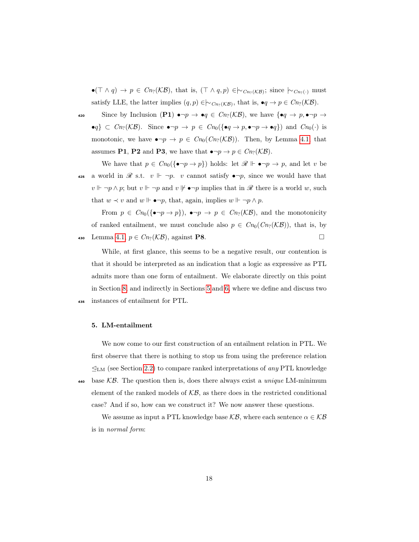$\bullet(\top \wedge q) \to p \in \mathit{Cn}_2(\mathcal{KB})$ , that is,  $(\top \wedge q, p) \in \sim_{\mathit{Cn}_2(\mathcal{KB})}$ ; since  $\sim_{\mathit{Cn}_2(\cdot)}$  must satisfy LLE, the latter implies  $(q, p) \in \sim_{Cn_?(\mathcal{KB})}$ , that is,  $\bullet q \to p \in Cn_?(\mathcal{KB})$ .

420 Since by Inclusion (P1)  $\bullet \neg p \to \bullet q \in Cn_?(\mathcal{KB})$ , we have  $\{\bullet q \to p, \bullet \neg p \to q\}$  $\bullet q$ } ⊂  $Cn_?(\mathcal{KB})$ . Since  $\bullet \neg p \to p \in Cn_0(\{\bullet q \to p, \bullet \neg p \to \bullet q\})$  and  $Cn_0(\cdot)$  is monotonic, we have  $\bullet \neg p \to p \in Cn_0(Cn_?(\mathcal{KB}))$ . Then, by Lemma [4.1,](#page-13-0) that assumes **P1**, **P2** and **P3**, we have that  $\bullet \neg p \to p \in C_{n}(\mathcal{KB})$ .

We have that  $p \in C_{n_0}(\{\bullet \neg p \to p\})$  holds: let  $\mathscr{R} \Vdash \bullet \neg p \to p$ , and let v be 425 a world in  $\mathscr R$  s.t.  $v \Vdash \neg p$ . v cannot satisfy  $\bullet \neg p$ , since we would have that  $v \Vdash \neg p \land p$ ; but  $v \Vdash \neg p$  and  $v \not\Vdash \bullet \neg p$  implies that in  $\mathscr R$  there is a world w, such that  $w \prec v$  and  $w \Vdash \bullet \neg p$ , that, again, implies  $w \Vdash \neg p \land p$ .

From  $p \in Cn_0(\{\bullet \neg p \to p\}), \ \bullet \neg p \to p \in Cn_?(\mathcal{KB})$ , and the monotonicity of ranked entailment, we must conclude also  $p \in C_{n_0}(C_{n_2}(\mathcal{KB}))$ , that is, by 430 Lemma [4.1,](#page-13-0)  $p \in C_{n}(\mathcal{KB})$ , against **P8**. □

While, at first glance, this seems to be a negative result, our contention is that it should be interpreted as an indication that a logic as expressive as PTL admits more than one form of entailment. We elaborate directly on this point in Section [8,](#page-34-0) and indirectly in Sections [5](#page-18-0) and [6,](#page-26-0) where we define and discuss two <sup>435</sup> instances of entailment for PTL.

#### <span id="page-18-0"></span>5. LM-entailment

We now come to our first construction of an entailment relation in PTL. We first observe that there is nothing to stop us from using the preference relation  $\mathcal{L}_{LM}$  (see Section [2.2\)](#page-7-0) to compare ranked interpretations of any PTL knowledge base  $K\mathcal{B}$ . The question then is, does there always exist a unique LM-minimum element of the ranked models of  $\mathcal{KB}$ , as there does in the restricted conditional case? And if so, how can we construct it? We now answer these questions.

We assume as input a PTL knowledge base  $\mathcal{KB}$ , where each sentence  $\alpha \in \mathcal{KB}$ is in normal form: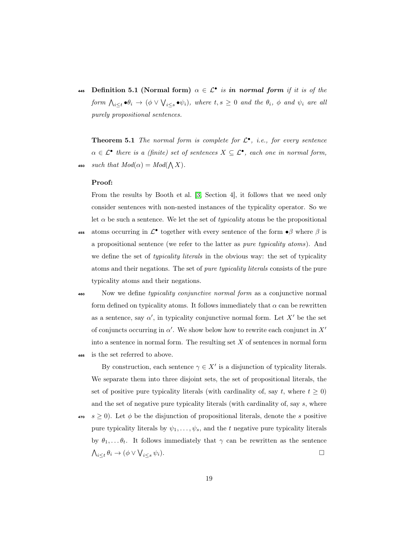**445** Definition 5.1 (Normal form)  $\alpha \in \mathcal{L}^{\bullet}$  is in normal form if it is of the form  $\bigwedge_{i\leq t}\bullet\theta_i\to(\phi\vee\bigvee_{i\leq s}\bullet\psi_i),$  where  $t,s\geq 0$  and the  $\theta_i,$   $\phi$  and  $\psi_i$  are all purely propositional sentences.

**Theorem 5.1** The normal form is complete for  $\mathcal{L}^{\bullet}$ , i.e., for every sentence  $\alpha \in \mathcal{L}^{\bullet}$  there is a (finite) set of sentences  $X \subseteq \mathcal{L}^{\bullet}$ , each one in normal form, 450 *such that*  $Mod(\alpha) = Mod(\bigwedge X)$ .

#### Proof:

From the results by Booth et al. [\[3,](#page-43-1) Section 4], it follows that we need only consider sentences with non-nested instances of the typicality operator. So we let  $\alpha$  be such a sentence. We let the set of *typicality* atoms be the propositional

- 455 atoms occurring in  $\mathcal{L}^{\bullet}$  together with every sentence of the form  $\bullet\beta$  where  $\beta$  is a propositional sentence (we refer to the latter as *pure typicality atoms*). And we define the set of *typicality literals* in the obvious way: the set of typicality atoms and their negations. The set of pure typicality literals consists of the pure typicality atoms and their negations.
- 

460 Now we define *typicality conjunctive normal form* as a conjunctive normal form defined on typicality atoms. It follows immediately that  $\alpha$  can be rewritten as a sentence, say  $\alpha'$ , in typicality conjunctive normal form. Let  $X'$  be the set of conjuncts occurring in  $\alpha'$ . We show below how to rewrite each conjunct in  $X'$ into a sentence in normal form. The resulting set  $X$  of sentences in normal form <sup>465</sup> is the set referred to above.

By construction, each sentence  $\gamma \in X'$  is a disjunction of typicality literals. We separate them into three disjoint sets, the set of propositional literals, the set of positive pure typicality literals (with cardinality of, say t, where  $t \geq 0$ ) and the set of negative pure typicality literals (with cardinality of, say s, where

470 s ≥ 0). Let  $\phi$  be the disjunction of propositional literals, denote the s positive pure typicality literals by  $\psi_1, \ldots, \psi_s$ , and the t negative pure typicality literals by  $\theta_1, \ldots, \theta_t$ . It follows immediately that  $\gamma$  can be rewritten as the sentence  $\bigwedge_{i\leq t}\theta_i\to (\phi\vee\bigvee_{i\leq s}\psi_i).$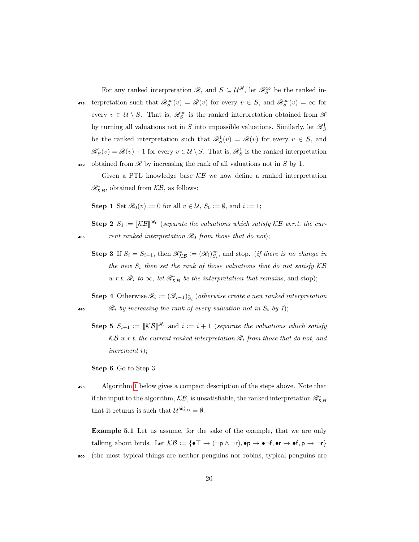For any ranked interpretation  $\mathscr{R}$ , and  $S \subseteq \mathcal{U}^{\mathscr{R}}$ , let  $\mathscr{R}^{\infty}_S$  be the ranked in-475 terpretation such that  $\mathscr{R}_S^{\infty}(v) = \mathscr{R}(v)$  for every  $v \in S$ , and  $\mathscr{R}_S^{\infty}(v) = \infty$  for every  $v \in \mathcal{U} \setminus S$ . That is,  $\mathscr{R}_{S}^{\infty}$  is the ranked interpretation obtained from  $\mathscr{R}$ by turning all valuations not in S into impossible valuations. Similarly, let  $\mathscr{R}^1_S$ be the ranked interpretation such that  $\mathcal{R}_S^1(v) = \mathcal{R}(v)$  for every  $v \in S$ , and  $\mathcal{R}_S^1(v) = \mathcal{R}(v) + 1$  for every  $v \in \mathcal{U} \setminus S$ . That is,  $\mathcal{R}_S^1$  is the ranked interpretation obtained from  $\mathscr R$  by increasing the rank of all valuations not in S by 1.

Given a PTL knowledge base  $KB$  we now define a ranked interpretation  $\mathcal{R}_{\mathcal{KB}}^*$ , obtained from  $\mathcal{KB}$ , as follows:

**Step 1** Set  $\mathscr{R}_0(v) := 0$  for all  $v \in \mathcal{U}$ ,  $S_0 := \emptyset$ , and  $i := 1$ ;

**Step 2**  $S_1 := [\mathcal{KB}]^{\mathcal{R}_0}$  (separate the valuations which satisfy KB w.r.t. the cur-485 rent ranked interpretation  $\mathcal{R}_0$  from those that do not);

**Step 3** If  $S_i = S_{i-1}$ , then  $\mathscr{R}_{\mathcal{KB}}^* := (\mathscr{R}_i)_{S_i}^{\infty}$ , and stop. (*if there is no change in* the new  $S_i$  then set the rank of those valuations that do not satisfy  $\mathcal{KB}$ w.r.t.  $\mathcal{R}_i$  to  $\infty$ , let  $\mathcal{R}_{\mathcal{KB}}^*$  be the interpretation that remains, and stop);

**Step 4** Otherwise  $\mathcal{R}_i := (\mathcal{R}_{i-1})^1_{S_i}$  (otherwise create a new ranked interpretation 490  $\mathscr{R}_i$  by increasing the rank of every valuation not in  $S_i$  by 1);

**Step 5**  $S_{i+1} := \llbracket \mathcal{KB} \rrbracket^{\mathscr{R}_i}$  and  $i := i+1$  (separate the valuations which satisfy  $KB$  w.r.t. the current ranked interpretation  $\mathcal{R}_i$  from those that do not, and increment i);

Step 6 Go to Step 3.

<sup>495</sup> Algorithm [1](#page-21-0) below gives a compact description of the steps above. Note that if the input to the algorithm,  $\mathcal{KB}$ , is unsatisfiable, the ranked interpretation  $\mathscr{R}_{\mathcal{KB}}^*$ that it returns is such that  $\mathcal{U}^{\mathscr{R}_{\kappa}}{}^{*}=\emptyset$ .

<span id="page-20-0"></span>Example 5.1 Let us assume, for the sake of the example, that we are only talking about birds. Let  $\mathcal{KB} := {\{\bullet \top \to (\neg p \land \neg r), \bullet p \to \bullet \neg f, \bullet r \to \bullet f, p \to \neg r\}}$ <sup>500</sup> (the most typical things are neither penguins nor robins, typical penguins are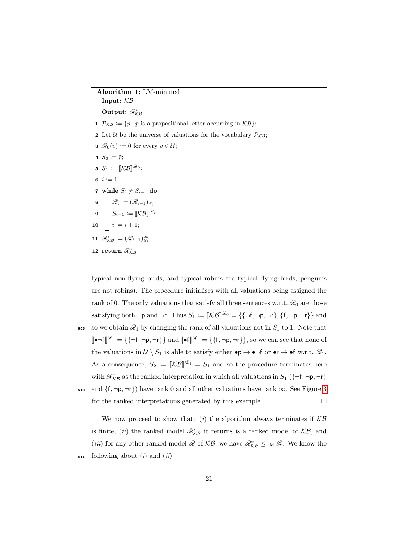Algorithm 1: LM-minimal

<span id="page-21-0"></span>

| Input: $KB$                                                                                                             |  |  |
|-------------------------------------------------------------------------------------------------------------------------|--|--|
| Output: $\mathcal{R}_{KB}^*$                                                                                            |  |  |
| 1 $\mathcal{P}_{\mathcal{KB}} := \{ p \mid p \text{ is a propositional letter occurring in } \mathcal{KB} \};$          |  |  |
| 2 Let U be the universe of valuations for the vocabulary $P_{KB}$ ;                                                     |  |  |
| <b>3</b> $\mathscr{R}_0(v) := 0$ for every $v \in \mathcal{U}$ ;                                                        |  |  |
| 4 $S_0 := \emptyset$ ;                                                                                                  |  |  |
| 5 $S_1 := [\mathcal{KB}]^{\mathscr{R}_0};$                                                                              |  |  |
| 6 $i := 1$ ;                                                                                                            |  |  |
| 7 while $S_i \neq S_{i-1}$ do                                                                                           |  |  |
|                                                                                                                         |  |  |
|                                                                                                                         |  |  |
| 8 $\beta_i := (\mathscr{R}_{i-1})^1_{S_i};$<br>9 $S_{i+1} := [\![\mathcal{KB}]\!]^{\mathscr{R}_i};$<br>10 $i := i + 1;$ |  |  |
| 11 $\mathscr{R}_{\mathcal{KB}}^* := (\mathscr{R}_{i-1})_{S_i}^{\infty}$ ;                                               |  |  |
| 12 return $\mathcal{R}_{KR}^*$                                                                                          |  |  |
|                                                                                                                         |  |  |

typical non-flying birds, and typical robins are typical flying birds, penguins are not robins). The procedure initialises with all valuations being assigned the rank of 0. The only valuations that satisfy all three sentences w.r.t.  $\mathcal{R}_0$  are those satisfying both  $\neg p$  and  $\neg r$ . Thus  $S_1 := [\![\mathcal{KB}]\!]^{\mathscr{R}_0} = {\{\neg f, \neg p, \neg r\}, \{f, \neg p, \neg r\}\}\$ and 505 so we obtain  $\mathcal{R}_1$  by changing the rank of all valuations not in  $S_1$  to 1. Note that  $\llbracket \bullet \neg f \rrbracket \mathscr{R}_1 = \{\{\neg f, \neg p, \neg r\}\}\$  and  $\llbracket \bullet f \rrbracket \mathscr{R}_1 = \{\{f, \neg p, \neg r\}\}\$ , so we can see that none of the valuations in  $\mathcal{U} \setminus S_1$  is able to satisfy either  $\bullet \mathsf{p} \to \bullet \neg \mathsf{f}$  or  $\bullet \mathsf{r} \to \bullet \mathsf{f}$  w.r.t.  $\mathscr{R}_1$ . As a consequence,  $S_2 := [\![\mathcal{KB}]\!]^{\mathscr{R}_1} = S_1$  and so the procedure terminates here with  $\mathcal{R}_{KB}^*$  as the ranked interpretation in which all valuations in  $S_1$  ({¬f,¬p,¬r} 510 and  $\{f, \neg p, \neg r\}$  have rank 0 and all other valuations have rank  $\infty$ . See Figure [3](#page-22-0) for the ranked interpretations generated by this example.  $\Box$ 

<span id="page-21-1"></span>We now proceed to show that: (i) the algorithm always terminates if  $KB$ is finite; (*ii*) the ranked model  $\mathcal{R}_{\mathcal{KB}}^*$  it returns is a ranked model of  $\mathcal{KB}$ , and (*iii*) for any other ranked model  $\mathcal{R}$  of  $\mathcal{KB}$ , we have  $\mathcal{R}^*_{\mathcal{KB}} \trianglelefteq_{LM} \mathcal{R}$ . We know the  $515$  following about (i) and (ii):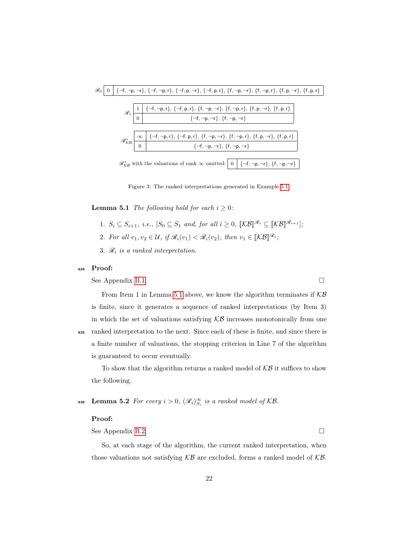

<span id="page-22-0"></span>Figure 3: The ranked interpretations generated in Example [5.1.](#page-20-0)

**Lemma 5.1** The following hold for each  $i > 0$ :

- 1.  $S_i \subseteq S_{i+1}$ , i.e.,  $[S_0 \subseteq S_1 \text{ and, for all } i \geq 0, \ [\mathcal{KB}]]^{\mathscr{R}_i} \subseteq [\mathcal{KB}]]^{\mathscr{R}_{i+1}}$ ;
- 2. For all  $v_1, v_2 \in \mathcal{U}$ , if  $\mathscr{R}_i(v_1) < \mathscr{R}_i(v_2)$ , then  $v_1 \in [\mathcal{KB}]\mathscr{R}_i$ ;
- 3.  $\mathcal{R}_i$  is a ranked interpretation.

#### <sup>520</sup> Proof:

See Appendix [B.1.](#page-50-0)

From Item 1 in Lemma [5.1](#page-21-1) above, we know the algorithm terminates if  $K\mathcal{B}$ is finite, since it generates a sequence of ranked interpretations (by Item 3) in which the set of valuations satisfying  $KB$  increases monotonically from one <sup>525</sup> ranked interpretation to the next. Since each of these is finite, and since there is a finite number of valuations, the stopping criterion in Line 7 of the algorithm is guaranteed to occur eventually.

<span id="page-22-1"></span>To show that the algorithm returns a ranked model of  $\mathcal{KB}$  it suffices to show the following.

**Lemma 5.2** For every  $i > 0$ ,  $(\mathscr{R}_i)_{S_i}^{\infty}$  is a ranked model of KB.

#### Proof:

See Appendix [B.2.](#page-51-0)

So, at each stage of the algorithm, the current ranked interpretation, when those valuations not satisfying  $KB$  are excluded, forms a ranked model of  $KB$ .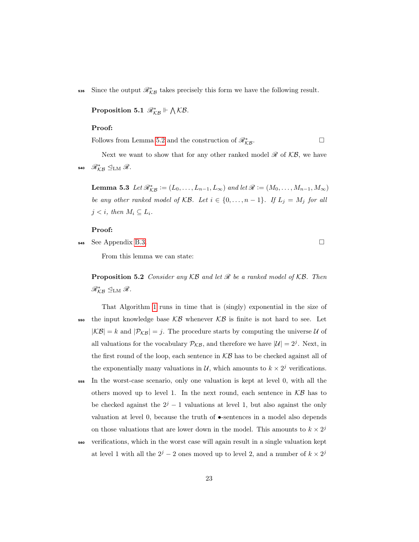Since the output  $\mathcal{R}_{KB}^*$  takes precisely this form we have the following result.

<span id="page-23-0"></span>Proposition 5.1  $\mathscr{R}_{\mathcal{KB}}^* \Vdash \bigwedge \mathcal{KB}$ .

#### Proof:

<span id="page-23-2"></span>Follows from Lemma [5.2](#page-22-1) and the construction of  $\mathcal{R}_{\mathcal{KB}}^*$ .

Next we want to show that for any other ranked model  $\mathcal{R}$  of  $\mathcal{KB}$ , we have 540  $\mathscr{R}_{\mathcal{KB}}^* \trianglelefteq_{\mathrm{LM}} \mathscr{R}$ .

**Lemma 5.3** Let  $\mathcal{R}_{\mathcal{KB}}^* := (L_0, \ldots, L_{n-1}, L_{\infty})$  and let  $\mathcal{R} := (M_0, \ldots, M_{n-1}, M_{\infty})$ be any other ranked model of  $\mathcal{KB}$ . Let  $i \in \{0, ..., n-1\}$ . If  $L_j = M_j$  for all  $j < i$ , then  $M_i \subseteq L_i$ .

#### Proof:

 $\overline{\mathbf{5}}$  See Appendix [B.3.](#page-52-0)

<span id="page-23-1"></span>From this lemma we can state:

**Proposition 5.2** Consider any  $KB$  and let  $\mathcal{R}$  be a ranked model of  $KB$ . Then  $\mathscr{R}_{\mathcal{KB}}^* \trianglelefteq_{\text{LM}} \mathscr{R}.$ 

- That Algorithm [1](#page-21-0) runs in time that is (singly) exponential in the size of  $\mathfrak{so}$  the input knowledge base  $\mathcal{KB}$  whenever  $\mathcal{KB}$  is finite is not hard to see. Let  $|\mathcal{KB}| = k$  and  $|\mathcal{P}_{\mathcal{KB}}| = j$ . The procedure starts by computing the universe U of all valuations for the vocabulary  $P_{\mathcal{KB}}$ , and therefore we have  $|\mathcal{U}| = 2^j$ . Next, in the first round of the loop, each sentence in  $KB$  has to be checked against all of the exponentially many valuations in  $\mathcal{U}$ , which amounts to  $k \times 2^{j}$  verifications.
- <sup>555</sup> In the worst-case scenario, only one valuation is kept at level 0, with all the others moved up to level 1. In the next round, each sentence in  $KB$  has to be checked against the  $2^{j} - 1$  valuations at level 1, but also against the only valuation at level 0, because the truth of  $\bullet$ -sentences in a model also depends on those valuations that are lower down in the model. This amounts to  $k \times 2^{j}$
- <sup>560</sup> verifications, which in the worst case will again result in a single valuation kept at level 1 with all the  $2^{j} - 2$  ones moved up to level 2, and a number of  $k \times 2^{j}$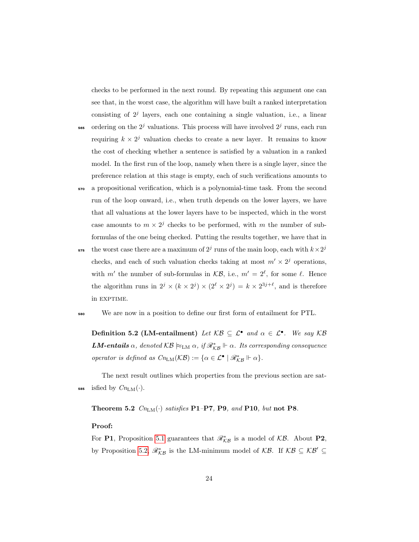checks to be performed in the next round. By repeating this argument one can see that, in the worst case, the algorithm will have built a ranked interpretation consisting of  $2<sup>j</sup>$  layers, each one containing a single valuation, i.e., a linear

- $\frac{1}{565}$  ordering on the  $2^j$  valuations. This process will have involved  $2^j$  runs, each run requiring  $k \times 2^{j}$  valuation checks to create a new layer. It remains to know the cost of checking whether a sentence is satisfied by a valuation in a ranked model. In the first run of the loop, namely when there is a single layer, since the preference relation at this stage is empty, each of such verifications amounts to
- <sup>570</sup> a propositional verification, which is a polynomial-time task. From the second run of the loop onward, i.e., when truth depends on the lower layers, we have that all valuations at the lower layers have to be inspected, which in the worst case amounts to  $m \times 2^j$  checks to be performed, with m the number of subformulas of the one being checked. Putting the results together, we have that in
- the worst case there are a maximum of  $2<sup>j</sup>$  runs of the main loop, each with  $k \times 2<sup>j</sup>$ 575 checks, and each of such valuation checks taking at most  $m' \times 2^{j}$  operations, with m' the number of sub-formulas in  $\mathcal{KB}$ , i.e.,  $m' = 2^{\ell}$ , for some  $\ell$ . Hence the algorithm runs in  $2^j \times (k \times 2^j) \times (2^{\ell} \times 2^j) = k \times 2^{3j+\ell}$ , and is therefore in EXPTIME.

#### <sup>580</sup> We are now in a position to define our first form of entailment for PTL.

Definition 5.2 (LM-entailment) Let  $\mathcal{KB} \subseteq \mathcal{L}^{\bullet}$  and  $\alpha \in \mathcal{L}^{\bullet}$ . We say  $\mathcal{KB}$ **LM-entails**  $\alpha$ , denoted  $KB \approx_{LM} \alpha$ , if  $\mathcal{R}_{KB}^* \Vdash \alpha$ . Its corresponding consequence operator is defined as  $Cn_{LM}(\mathcal{KB}) := {\alpha \in \mathcal{L}^{\bullet} \mid \mathscr{R}_{\mathcal{KB}}^* \Vdash \alpha}.$ 

The next result outlines which properties from the previous section are sat-585 isfied by  $Cn_{LM}(\cdot)$ .

<span id="page-24-0"></span>Theorem 5.2  $\mathit{Cn}_{\mathrm{LM}}(\cdot)$  satisfies P1–P7, P9, and P10, but not P8.

#### Proof:

For P1, Proposition [5.1](#page-23-0) guarantees that  $\mathcal{R}_{\mathcal{KB}}^*$  is a model of  $\mathcal{KB}$ . About P2, by Proposition [5.2,](#page-23-1)  $\mathscr{R}_{\mathcal{KB}}^*$  is the LM-minimum model of  $\mathcal{KB}$ . If  $\mathcal{KB} \subseteq \mathcal{KB}' \subseteq$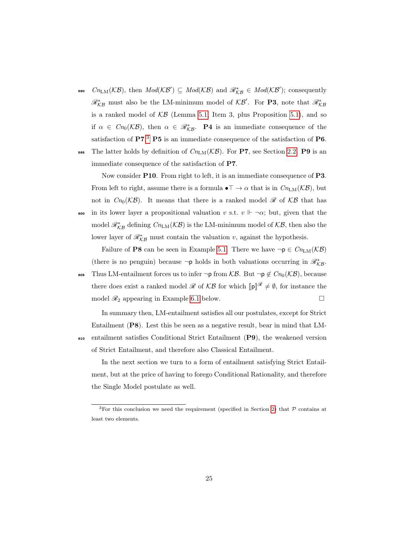- **590**  $Cn_{LM}(\mathcal{KB})$ , then  $Mod(\mathcal{KB}') \subseteq Mod(\mathcal{KB})$  and  $\mathscr{R}_{\mathcal{KB}}^* \in Mod(\mathcal{KB}')$ ; consequently  $\mathcal{R}_{\mathcal{KB}}^*$  must also be the LM-minimum model of  $\mathcal{KB}'$ . For **P3**, note that  $\mathcal{R}_{\mathcal{KB}}^*$ is a ranked model of  $KB$  (Lemma [5.1,](#page-21-1) Item 3, plus Proposition [5.1\)](#page-23-0), and so if  $\alpha \in C_{n_0}(\mathcal{KB})$ , then  $\alpha \in \mathcal{R}_{\mathcal{KB}}^*$ . **P4** is an immediate consequence of the satisfaction of  $P7<sup>3</sup> P5$  $P7<sup>3</sup> P5$  $P7<sup>3</sup> P5$  is an immediate consequence of the satisfaction of P6.
- 595 The latter holds by definition of  $Cn_{LM}(\mathcal{KB})$ . For P7, see Section [2.2.](#page-7-0) P9 is an immediate consequence of the satisfaction of P7.

Now consider **P10**. From right to left, it is an immediate consequence of **P3**. From left to right, assume there is a formula  $\bullet \top \to \alpha$  that is in  $\mathbb{C}n_{LM}(\mathcal{KB})$ , but not in  $Cn_0(\mathcal{KB})$ . It means that there is a ranked model  $\mathscr R$  of  $\mathcal{KB}$  that has 600 in its lower layer a propositional valuation v s.t.  $v \Vdash \neg \alpha$ ; but, given that the model  $\mathscr{R}_{\mathcal{KB}}^*$  defining  $\mathcal{C}n_{\text{LM}}(\mathcal{KB})$  is the LM-minimum model of  $\mathcal{KB},$  then also the lower layer of  $\mathcal{R}_{\mathcal{KB}}^*$  must contain the valuation v, against the hypothesis.

Failure of **P8** can be seen in Example [5.1.](#page-20-0) There we have  $\neg p \in Cn_{LM}(\mathcal{KB})$ (there is no penguin) because ¬p holds in both valuations occurring in  $\mathscr{R}_{\mathcal{KB}}^*$ .

605 Thus LM-entailment forces us to infer  $\neg p$  from  $\mathcal{KB}$ . But  $\neg p \notin C_{n_0}(\mathcal{KB})$ , because there does exist a ranked model  $\mathscr R$  of  $\mathcal{KB}$  for which  $[\![\mathbf{p}]\!]^{\mathscr R}\neq\emptyset$ , for instance the model  $\mathcal{R}_2$  appearing in Example [6.1](#page-28-0) below.

In summary then, LM-entailment satisfies all our postulates, except for Strict Entailment (P8). Lest this be seen as a negative result, bear in mind that LM-<sup>610</sup> entailment satisfies Conditional Strict Entailment (P9), the weakened version of Strict Entailment, and therefore also Classical Entailment.

In the next section we turn to a form of entailment satisfying Strict Entailment, but at the price of having to forego Conditional Rationality, and therefore the Single Model postulate as well.

<span id="page-25-0"></span><sup>&</sup>lt;sup>3</sup>For this conclusion we need the requirement (specified in Section [2\)](#page-4-0) that  $P$  contains at least two elements.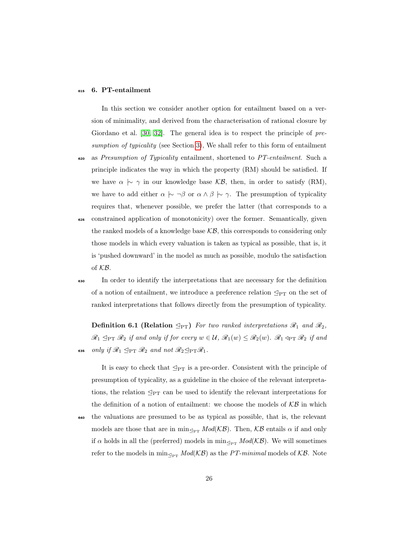#### <span id="page-26-0"></span><sup>615</sup> 6. PT-entailment

In this section we consider another option for entailment based on a version of minimality, and derived from the characterisation of rational closure by Giordano et al. [\[30,](#page-46-2) [32\]](#page-46-3). The general idea is to respect the principle of pre-sumption of typicality (see Section [3\)](#page-10-0), We shall refer to this form of entailment 620 as Presumption of Typicality entailment, shortened to PT-entailment. Such a principle indicates the way in which the property (RM) should be satisfied. If we have  $\alpha \sim \gamma$  in our knowledge base KB, then, in order to satisfy (RM), we have to add either  $\alpha \sim \beta$  or  $\alpha \wedge \beta \sim \gamma$ . The presumption of typicality requires that, whenever possible, we prefer the latter (that corresponds to a <sup>625</sup> constrained application of monotonicity) over the former. Semantically, given the ranked models of a knowledge base  $KB$ , this corresponds to considering only those models in which every valuation is taken as typical as possible, that is, it

is 'pushed downward' in the model as much as possible, modulo the satisfaction of KB.

<sup>630</sup> In order to identify the interpretations that are necessary for the definition of a notion of entailment, we introduce a preference relation  $\leq_{PT}$  on the set of ranked interpretations that follows directly from the presumption of typicality.

<span id="page-26-1"></span>**Definition 6.1 (Relation**  $\leq_{\text{PT}}$ ) For two ranked interpretations  $\mathcal{R}_1$  and  $\mathcal{R}_2$ ,  $\mathscr{R}_1 \subseteq_{\mathrm{PT}} \mathscr{R}_2$  if and only if for every  $w \in \mathcal{U}$ ,  $\mathscr{R}_1(w) \leq \mathscr{R}_2(w)$ .  $\mathscr{R}_1 \triangleleft_{\mathrm{PT}} \mathscr{R}_2$  if and 635 only if  $\mathscr{R}_1 \subseteq_{\mathrm{PT}} \mathscr{R}_2$  and not  $\mathscr{R}_2 \subseteq_{\mathrm{PT}} \mathscr{R}_1$ .

It is easy to check that  $\mathcal{L}_{PT}$  is a pre-order. Consistent with the principle of presumption of typicality, as a guideline in the choice of the relevant interpretations, the relation  $\mathcal{Q}_{PT}$  can be used to identify the relevant interpretations for the definition of a notion of entailment: we choose the models of  $\mathcal{KB}$  in which <sup>640</sup> the valuations are presumed to be as typical as possible, that is, the relevant models are those that are in  $\min_{\leq_{\text{PT}}} Mod(K\mathcal{B})$ . Then,  $\mathcal{KB}$  entails  $\alpha$  if and only if  $\alpha$  holds in all the (preferred) models in min<sub> $\triangleleft_{PT} Mod(K\mathcal{B})$ . We will sometimes</sub> refer to the models in  $\min_{\leq_{PT}} Mod(K\mathcal{B})$  as the PT-minimal models of  $K\mathcal{B}$ . Note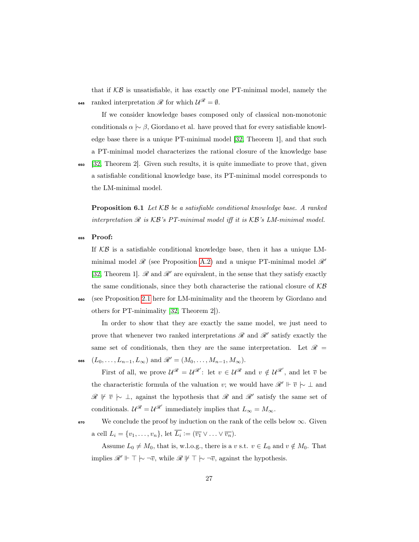that if  $KB$  is unsatisfiable, it has exactly one PT-minimal model, namely the 645 ranked interpretation  $\mathscr R$  for which  $\mathcal U^{\mathscr R} = \emptyset$ .

If we consider knowledge bases composed only of classical non-monotonic conditionals  $\alpha \sim \beta$ , Giordano et al. have proved that for every satisfiable knowledge base there is a unique PT-minimal model [\[32,](#page-46-3) Theorem 1], and that such a PT-minimal model characterizes the rational closure of the knowledge base

<sup>650</sup> [\[32,](#page-46-3) Theorem 2]. Given such results, it is quite immediate to prove that, given a satisfiable conditional knowledge base, its PT-minimal model corresponds to the LM-minimal model.

<span id="page-27-0"></span>**Proposition 6.1** Let  $KB$  be a satisfiable conditional knowledge base. A ranked interpretation  $\mathcal R$  is  $\mathcal{KB}$ 's PT-minimal model iff it is  $\mathcal{KB}$ 's LM-minimal model.

<sup>655</sup> Proof:

If  $KB$  is a satisfiable conditional knowledge base, then it has a unique LMminimal model  $\mathcal{R}$  (see Proposition [A.2\)](#page-49-0) and a unique PT-minimal model  $\mathcal{R}'$ [\[32,](#page-46-3) Theorem 1].  $\mathscr R$  and  $\mathscr R'$  are equivalent, in the sense that they satisfy exactly the same conditionals, since they both characterise the rational closure of  $\mathcal{KB}$ <sup>660</sup> (see Proposition [2.1](#page-7-1) here for LM-minimality and the theorem by Giordano and others for PT-minimality [\[32,](#page-46-3) Theorem 2]).

In order to show that they are exactly the same model, we just need to prove that whenever two ranked interpretations  $\mathscr R$  and  $\mathscr R'$  satisfy exactly the same set of conditionals, then they are the same interpretation. Let  $\mathscr{R}$  =

 $(L_0, \ldots, L_{n-1}, L_\infty)$  and  $\mathscr{R}' = (M_0, \ldots, M_{n-1}, M_\infty)$ .

First of all, we prove  $\mathcal{U}^{\mathcal{R}} = \mathcal{U}^{\mathcal{R}}$ : let  $v \in \mathcal{U}^{\mathcal{R}}$  and  $v \notin \mathcal{U}^{\mathcal{R}}$ , and let  $\overline{v}$  be the characteristic formula of the valuation v; we would have  $\mathcal{R}' \Vdash \overline{v} \succ \bot$  and  $\mathscr{R} \not\vdash \overline{v} \uparrow \bot$ , against the hypothesis that  $\mathscr{R}$  and  $\mathscr{R}'$  satisfy the same set of conditionals.  $\mathcal{U}^{\mathscr{R}} = \mathcal{U}^{\mathscr{R}'}$  immediately implies that  $L_{\infty} = M_{\infty}$ .

 $\bullet$ <sup>70</sup> We conclude the proof by induction on the rank of the cells below  $\infty$ . Given a cell  $L_i = \{v_1, \ldots, v_n\}$ , let  $L_i := (\overline{v_1} \vee \ldots \vee \overline{v_n})$ .

Assume  $L_0 \neq M_0$ , that is, w.l.o.g., there is a v s.t.  $v \in L_0$  and  $v \notin M_0$ . That implies  $\mathscr{R}' \Vdash \top \hspace{0.2em}\sim \neg \overline{v}$ , while  $\mathscr{R} \not\Vdash \top \hspace{0.2em}\sim \neg \overline{v}$ , against the hypothesis.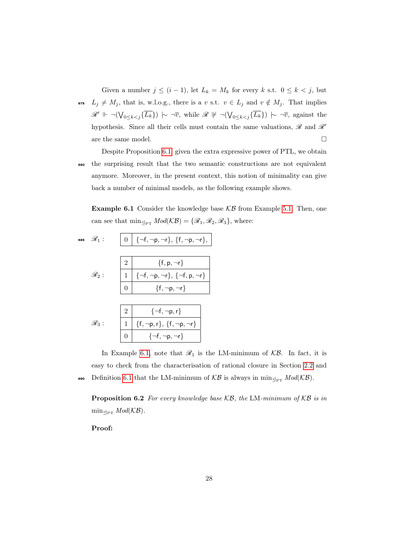Given a number  $j \leq (i-1)$ , let  $L_k = M_k$  for every k s.t.  $0 \leq k < j$ , but 675  $L_j \neq M_j$ , that is, w.l.o.g., there is a v s.t.  $v \in L_j$  and  $v \notin M_j$ . That implies  $\mathscr{R}' \Vdash \neg(\bigvee_{0 \leq k < j} \{\overline{L_k}\}) \succ \neg \overline{v}$ , while  $\mathscr{R} \not\Vdash \neg(\bigvee_{0 \leq k < j} \{\overline{L_k}\}) \succ \neg \overline{v}$ , against the hypothesis. Since all their cells must contain the same valuations,  $\mathscr R$  and  $\mathscr R'$ are the same model.  $\hfill \square$ 

Despite Proposition [6.1,](#page-27-0) given the extra expressive power of PTL, we obtain <sup>680</sup> the surprising result that the two semantic constructions are not equivalent anymore. Moreover, in the present context, this notion of minimality can give back a number of minimal models, as the following example shows.

<span id="page-28-0"></span>**Example 6.1** Consider the knowledge base  $KB$  from Example [5.1.](#page-20-0) Then, one can see that  $\min_{\leq_{PT}} Mod(K\mathcal{B}) = {\mathscr{R}_1, \mathscr{R}_2, \mathscr{R}_3}$ , where:

$$
\begin{array}{lll} \text{GBS} & \mathscr{R}_1: & \boxed{0} & \boxed{\neg f, \neg p, \neg r \}, \ \{f, \neg p, \neg r \}, \\ & & \\ & \mathscr{R}_2: & \boxed{1} & \boxed{\neg f, \neg p, \neg r \}, \ \{\neg f, p, \neg r \}} \\ & & \\ & \boxed{0} & \{f, \neg p, \neg r \} \\ & & \\ \mathscr{R}_3: & \boxed{1} & \{f, \neg p, r \}, \ \{f, \neg p, \neg r \} \\ & & \\ & \boxed{0} & \{\neg f, \neg p, r \}, \ \{f, \neg p, \neg r \} \\ & & \\ \hline & & \\ & \boxed{0} & \{\neg f, \neg p, \neg r \} \end{array}
$$

In Example [6.1,](#page-28-0) note that  $\mathcal{R}_1$  is the LM-minimum of  $\mathcal{KB}$ . In fact, it is easy to check from the characterisation of rational closure in Section [2.2](#page-7-0) and 690 Definition [6.1](#page-26-1) that the LM-minimum of  $KB$  is always in min<sub> $\mathcal{L}_{PT} Mod(K\mathcal{B})$ </sub>.

<span id="page-28-1"></span>**Proposition 6.2** For every knowledge base  $KB$ , the LM-minimum of  $KB$  is in  $\min_{\text{Per}} Mod(\mathcal{KB}).$ 

Proof: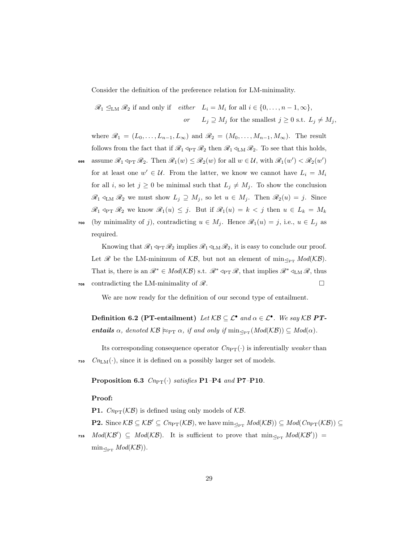Consider the definition of the preference relation for LM-minimality.

 $\mathscr{R}_1 \subseteq_{LM} \mathscr{R}_2$  if and only if  $\text{either} \quad L_i = M_i \text{ for all } i \in \{0, \ldots, n-1, \infty\},$ or  $L_j \supseteq M_j$  for the smallest  $j \geq 0$  s.t.  $L_j \neq M_j$ ,

where  $\mathscr{R}_1 = (L_0, \ldots, L_{n-1}, L_\infty)$  and  $\mathscr{R}_2 = (M_0, \ldots, M_{n-1}, M_\infty)$ . The result follows from the fact that if  $\mathcal{R}_1 \triangleleft_{\text{PT}} \mathcal{R}_2$  then  $\mathcal{R}_1 \triangleleft_{\text{LM}} \mathcal{R}_2$ . To see that this holds,

**assume**  $\mathscr{R}_1 \triangleleft_{\text{PT}} \mathscr{R}_2$ . Then  $\mathscr{R}_1(w) \leq \mathscr{R}_2(w)$  for all  $w \in \mathcal{U}$ , with  $\mathscr{R}_1(w') < \mathscr{R}_2(w')$ for at least one  $w' \in \mathcal{U}$ . From the latter, we know we cannot have  $L_i = M_i$ for all i, so let  $j \geq 0$  be minimal such that  $L_j \neq M_j$ . To show the conclusion  $\mathscr{R}_1 \triangleleft_{LM} \mathscr{R}_2$  we must show  $L_j \supseteq M_j$ , so let  $u \in M_j$ . Then  $\mathscr{R}_2(u) = j$ . Since  $\mathscr{R}_1 \triangleleft_{\text{PT}} \mathscr{R}_2$  we know  $\mathscr{R}_1(u) \leq j$ . But if  $\mathscr{R}_1(u) = k < j$  then  $u \in L_k = M_k$ 700 (by minimality of j), contradicting  $u \in M_j$ . Hence  $\mathscr{R}_1(u) = j$ , i.e.,  $u \in L_j$  as required.

Knowing that  $\mathcal{R}_1 \triangleleft_{\mathrm{PT}} \mathcal{R}_2$  implies  $\mathcal{R}_1 \triangleleft_{\mathrm{LM}} \mathcal{R}_2$ , it is easy to conclude our proof. Let  $\mathscr R$  be the LM-minimum of  $\mathcal{KB}$ , but not an element of min<sub> $\mathscr{D}_{PT}$ </sub>  $Mod(\mathcal{KB})$ . That is, there is an  $\mathscr{R}^* \in Mod(K\mathcal{B})$  s.t.  $\mathscr{R}^* \triangleleft_{\mathrm{PT}} \mathscr{R}$ , that implies  $\mathscr{R}^* \triangleleft_{\mathrm{LM}} \mathscr{R}$ , thus  $\sigma$ <sub>705</sub> contradicting the LM-minimality of  $\mathscr{R}$ .

We are now ready for the definition of our second type of entailment.

Definition 6.2 (PT-entailment) Let  $KB \subseteq \mathcal{L}^{\bullet}$  and  $\alpha \in \mathcal{L}^{\bullet}$ . We say KB PTentails  $\alpha$ , denoted  $KB \approx_{\text{PT}} \alpha$ , if and only if  $\min_{\text{PPT}} (Mod(KB)) \subseteq Mod(\alpha)$ .

Its corresponding consequence operator  $Cn_{\text{PT}}(\cdot)$  is inferentially *weaker* than  $m_{LM}(\cdot)$ , since it is defined on a possibly larger set of models.

<span id="page-29-0"></span>Proposition 6.3  $Cn_{\text{PT}}(\cdot)$  satisfies P1–P4 and P7–P10.

#### Proof:

**P1.**  $C_{n \in \mathcal{P}}(\mathcal{KB})$  is defined using only models of  $\mathcal{KB}$ .

**P2.** Since  $\mathcal{KB} \subseteq \mathcal{KB}' \subseteq Cn_{\text{PT}}(\mathcal{KB}),$  we have  $\min_{\leq_{\text{PT}}}\text{Mod}(\mathcal{KB})) \subseteq \text{Mod}(\text{C}n_{\text{PT}}(\mathcal{KB})) \subseteq$ 

715  $Mod(K\mathcal{B}') \subseteq Mod(K\mathcal{B})$ . It is sufficient to prove that  $\min_{\leq_{PT}} Mod(K\mathcal{B}') =$  $\min_{\leq_{PT}} Mod(\mathcal{KB})$ ).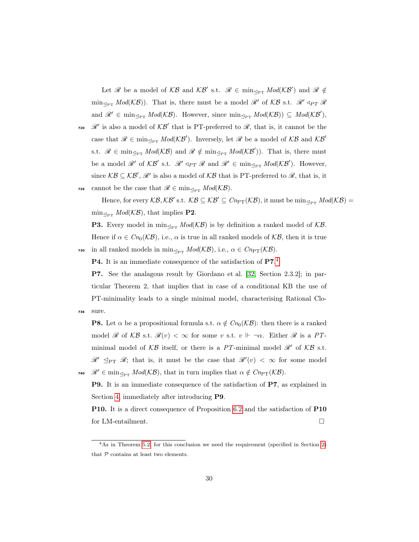Let  $\mathscr R$  be a model of  $\mathcal{KB}$  and  $\mathcal{KB}'$  s.t.  $\mathscr R\in\min_{\leq_{\mathbf{PT}}}Mod(\mathcal{KB}')$  and  $\mathscr R\notin$  $\min_{\mathcal{P}_{PT}} Mod(\mathcal{KB})$ . That is, there must be a model  $\mathcal{R}'$  of  $\mathcal{KB}$  s.t.  $\mathcal{R}' \triangleleft_{PT} \mathcal{R}$ and  $\mathscr{R}' \in \min_{\leq_{PT}} Mod(\mathcal{KB})$ . However, since  $\min_{\leq_{PT}} Mod(\mathcal{KB})) \subseteq Mod(\mathcal{KB}')$ , 720  $\mathcal{R}'$  is also a model of  $\mathcal{KB}'$  that is PT-preferred to  $\mathcal{R}$ , that is, it cannot be the case that  $\mathscr{R} \in \min_{\leq P} Mod(K\mathcal{B}')$ . Inversely, let  $\mathscr{R}$  be a model of  $KB$  and  $KB'$ s.t.  $\mathscr{R} \in \min_{\leq_{PT}} Mod(K\mathcal{B})$  and  $\mathscr{R} \notin \min_{\leq_{PT}} Mod(K\mathcal{B}'))$ . That is, there must be a model  $\mathcal{R}'$  of  $\mathcal{KB}'$  s.t.  $\mathcal{R}' \triangleleft_{PT} \mathcal{R}$  and  $\mathcal{R}' \in \min_{\leq_{PT}} Mod(\mathcal{KB}')$ . However, since  $KB \subseteq KB'$ ,  $\mathcal{R}'$  is also a model of  $KB$  that is PT-preferred to  $\mathcal{R}$ , that is, it 725 cannot be the case that  $\mathscr{R} \in \min_{\leq_{\text{PT}}} Mod(\mathcal{KB}).$ 

Hence, for every  $\mathcal{KB}, \mathcal{KB}'$  s.t.  $\mathcal{KB} \subseteq \mathcal{KB}' \subseteq Cn_{\text{PT}}(\mathcal{KB}),$  it must be  $\min_{\leq_{\text{PT}}} Mod(\mathcal{KB}) =$  $\min_{\mathcal{P}_{PT}} Mod(\mathcal{KB})$ , that implies **P2**.

**P3.** Every model in  $\min_{\leq_{PT}} Mod(K\mathcal{B})$  is by definition a ranked model of  $KB$ . Hence if  $\alpha \in C_n(\mathcal{KB})$ , i.e.,  $\alpha$  is true in all ranked models of  $\mathcal{KB}$ , then it is true 730 in all ranked models in min<sub> $\mathcal{A}_{PT}$ </sub>  $Mod(K\mathcal{B})$ , i.e.,  $\alpha \in Cn_{PT}(\mathcal{KB})$ .

P[4](#page-30-0). It is an immediate consequence of the satisfaction of P7.<sup>4</sup>

P7. See the analagous result by Giordano et al. [\[32,](#page-46-3) Section 2.3.2]; in particular Theorem 2, that implies that in case of a conditional KB the use of PT-minimality leads to a single minimal model, characterising Rational Clo-<sup>735</sup> sure.

**P8.** Let  $\alpha$  be a propositional formula s.t.  $\alpha \notin Cn_0(\mathcal{KB})$ : then there is a ranked model  $\mathscr R$  of  $\mathcal{KB}$  s.t.  $\mathscr R(v) < \infty$  for some v s.t.  $v \Vdash \neg \alpha$ . Either  $\mathscr R$  is a PTminimal model of  $KB$  itself, or there is a PT-minimal model  $\mathcal{R}'$  of  $KB$  s.t.  $\mathscr{R}' \subseteq_{\mathrm{PT}} \mathscr{R}$ ; that is, it must be the case that  $\mathscr{R}'(v) < \infty$  for some model 740  $\mathscr{R}' \in \min_{\leq_{\mathrm{PT}}} Mod(\mathcal{KB})$ , that in turn implies that  $\alpha \notin Cn_{\mathrm{PT}}(\mathcal{KB})$ .

P9. It is an immediate consequence of the satisfaction of P7, as explained in Section [4,](#page-12-0) immediately after introducing P9.

P10. It is a direct consequence of Proposition [6.2](#page-28-1) and the satisfaction of P10 for LM-entailment.  $\square$ 

<span id="page-30-0"></span> $4\text{As}$  in Theorem [5.2,](#page-24-0) for this conclusion we need the requirement (specified in Section [2\)](#page-4-0) that  ${\mathcal P}$  contains at least two elements.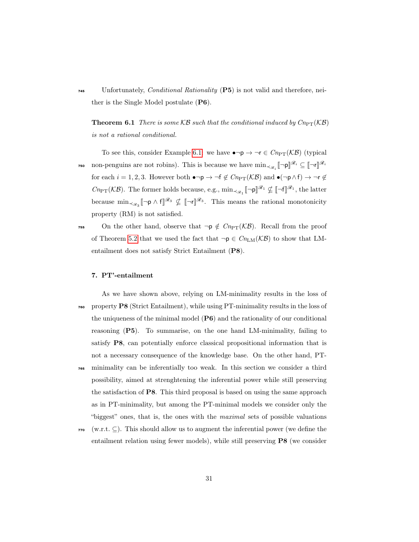<sup>745</sup> Unfortunately, Conditional Rationality (P5) is not valid and therefore, neither is the Single Model postulate (P6).

<span id="page-31-1"></span>**Theorem 6.1** There is some  $KB$  such that the conditional induced by  $C_{\text{PPT}}(KB)$ is not a rational conditional.

To see this, consider Example [6.1:](#page-28-0) we have  $\bullet \neg p \rightarrow \neg r \in Cn_{\text{PT}}(\mathcal{KB})$  (typical non-penguins are not robins). This is because we have  $\min_{\prec \mathscr{R}_i} [\neg \mathsf{p}]^{\mathscr{R}_i} \subseteq [\neg \mathsf{r}]^{\mathscr{R}_i}$ 750 for each  $i = 1, 2, 3$ . However both  $\bullet \neg p \to \neg f \notin Cn_{\text{PT}}(\mathcal{KB})$  and  $\bullet(\neg p \land f) \to \neg r \notin Cn_{\text{PT}}(\mathcal{KB})$  $\mathit{Cn}_{\mathrm{PT}}(\mathcal{KB})$ . The former holds because, e.g.,  $\min_{\prec_{\mathscr{R}_{1}}} \llbracket \neg \mathsf{p} \rrbracket^{\mathscr{R}_{1}} \nsubseteq \llbracket \neg \mathsf{f} \rrbracket^{\mathscr{R}_{1}},$  the latter because  $\min_{\prec_{\mathscr{R}_3}} [\neg \mathsf{p} \wedge \mathsf{f}]^{\mathscr{R}_3} \nsubseteq [\neg \mathsf{r}]^{\mathscr{R}_3}$ . This means the rational monotonicity property (RM) is not satisfied.

755 On the other hand, observe that  $\neg p \notin Cn_{PT}(\mathcal{KB})$ . Recall from the proof of Theorem [5.2](#page-24-0) that we used the fact that  $\neg p \in Cn_{LM}(\mathcal{KB})$  to show that LMentailment does not satisfy Strict Entailment (P8).

#### <span id="page-31-0"></span>7. PT'-entailment

- As we have shown above, relying on LM-minimality results in the loss of <sup>760</sup> property P8 (Strict Entailment), while using PT-minimality results in the loss of the uniqueness of the minimal model (P6) and the rationality of our conditional reasoning (P5). To summarise, on the one hand LM-minimality, failing to satisfy P8, can potentially enforce classical propositional information that is not a necessary consequence of the knowledge base. On the other hand, PT-
- <sup>765</sup> minimality can be inferentially too weak. In this section we consider a third possibility, aimed at strenghtening the inferential power while still preserving the satisfaction of P8. This third proposal is based on using the same approach as in PT-minimality, but among the PT-minimal models we consider only the "biggest" ones, that is, the ones with the *maximal* sets of possible valuations
- $770$  (w.r.t.  $\subseteq$ ). This should allow us to augment the inferential power (we define the entailment relation using fewer models), while still preserving P8 (we consider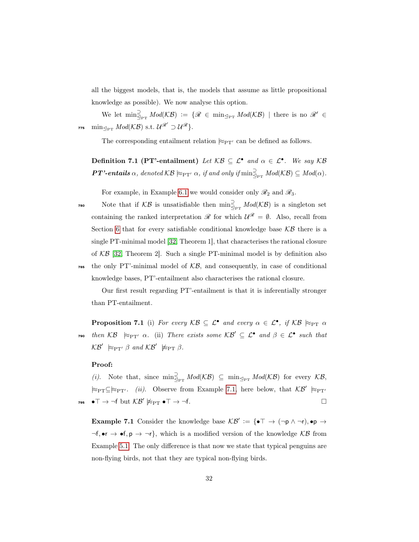all the biggest models, that is, the models that assume as little propositional knowledge as possible). We now analyse this option.

We let  $\min_{\mathcal{L}_{\text{PT}}}^{\supseteq} Mod(\mathcal{KB}) := \{ \mathscr{R} \in \min_{\mathcal{L}_{\text{PT}}} Mod(\mathcal{KB}) \mid \text{there is no } \mathscr{R}' \in$  $\min_{\text{Per}} \mathit{Mod}(\mathcal{KB}) \text{ s.t. } \mathcal{U}^{\mathscr{R}'} \supset \mathcal{U}^{\mathscr{R}}\}.$ 

The corresponding entailment relation  $\approx_{\text{PT'}}$  can be defined as follows.

Definition 7.1 (PT'-entailment) Let  $\mathcal{KB} \subseteq \mathcal{L}^{\bullet}$  and  $\alpha \in \mathcal{L}^{\bullet}$ . We say  $\mathcal{KB}$ **PT'-entails**  $\alpha$ , denoted  $KB \nvDash_{\text{PT'}} \alpha$ , if and only if  $\min_{\exists_{\text{PT}}}^{\supset} \text{Mod}(\mathcal{KB}) \subseteq \text{Mod}(\alpha)$ .

For example, in Example [6.1](#page-28-0) we would consider only  $\mathcal{R}_2$  and  $\mathcal{R}_3$ .

780 Note that if  $KB$  is unsatisfiable then  $\min_{\mathcal{L}_{PT}}^{\supset} Mod(KB)$  is a singleton set containing the ranked interpretation  $\mathscr R$  for which  $\mathcal{U}^{\mathscr R} = \emptyset$ . Also, recall from Section [6](#page-26-0) that for every satisfiable conditional knowledge base  $\mathcal{KB}$  there is a single PT-minimal model [\[32,](#page-46-3) Theorem 1], that characterises the rational closure of  $KB$  [\[32,](#page-46-3) Theorem 2]. Such a single PT-minimal model is by definition also

 $\tau_{\text{ss}}$  the only PT'-minimal model of  $\mathcal{KB},$  and consequently, in case of conditional knowledge bases, PT'-entailment also characterises the rational closure.

<span id="page-32-1"></span>Our first result regarding PT'-entailment is that it is inferentially stronger than PT-entailment.

**Proposition 7.1** (i) For every  $KB \subseteq \mathcal{L}^{\bullet}$  and every  $\alpha \in \mathcal{L}^{\bullet}$ , if  $KB \approx_{\text{PT}} \alpha$  $\tau$ <sup>50</sup> then  $KB \ \models_{\text{PT'}} \alpha$ . (ii) There exists some  $\mathcal{KB}' \subseteq \mathcal{L}^{\bullet}$  and  $\beta \in \mathcal{L}^{\bullet}$  such that  $KB' \succcurlyeq_{\mathrm{PT'}} \beta$  and  $KB' \not\succcurlyeq_{\mathrm{PT}} \beta$ .

#### Proof:

(*i*). Note that, since  $\min_{\mathcal{L}_{PT}} \text{Mod}(\mathcal{KB}) \subseteq \min_{\mathcal{L}_{PT}} \text{Mod}(\mathcal{KB})$  for every  $\mathcal{KB},$  $\approx_{\text{PT}} \subseteq \approx_{\text{PT'}}$ . (ii). Observe from Example [7.1,](#page-32-0) here below, that  $\mathcal{KB}' \approx_{\text{PT'}}$  $\bullet$   $\top \to \neg f$  but  $\mathcal{KB}' \not\models_{\mathrm{PT}} \bullet \top \to \neg f$ .  $\Box$ 

<span id="page-32-0"></span>**Example 7.1** Consider the knowledge base  $\mathcal{KB}' := {\{\bullet \top \rightarrow (\neg p \land \neg r), \bullet p \rightarrow \bot\}}$  $\neg f, \bullet r \to \bullet f, p \to \neg r$ , which is a modified version of the knowledge KB from Example [5.1.](#page-20-0) The only difference is that now we state that typical penguins are non-flying birds, not that they are typical non-flying birds.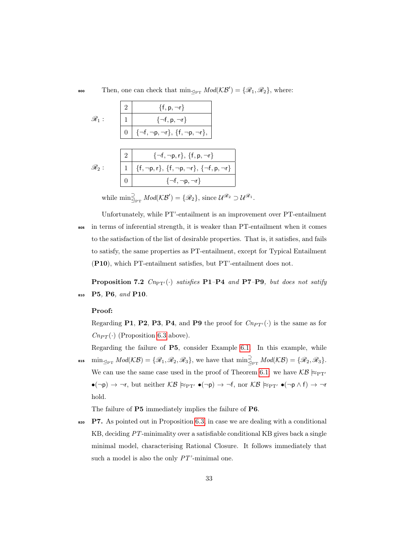soo Then, one can check that  $\min_{\leq_{PT}} Mod(K\mathcal{B}') = {\mathscr{R}_1, \mathscr{R}_2}$ , where:

|                   |          | $\{f, p, \neg r\}$                                                                                                                             |
|-------------------|----------|------------------------------------------------------------------------------------------------------------------------------------------------|
| $\mathscr{R}_1$ : |          | $\{\neg f, p, \neg r\}$                                                                                                                        |
|                   | $\Omega$ | $\{\neg \mathsf{f}, \neg \mathsf{p}, \neg \mathsf{r}\}, \, \{\mathsf{f}, \neg \mathsf{p}, \neg \mathsf{r}\},$                                  |
|                   |          |                                                                                                                                                |
|                   |          | $\{\neg f, \neg p, r\}, \{f, p, \neg r\}$                                                                                                      |
| $\mathscr{R}_2$ : |          | $\{\mathsf f, \neg \mathsf p, \mathsf r\}, \, \{\mathsf f, \neg \mathsf p, \neg \mathsf r\}, \, \{\neg \mathsf f, \mathsf p, \neg \mathsf r\}$ |
|                   |          | $\{\neg f, \neg p, \neg r\}$                                                                                                                   |

while  $\min_{\mathcal{A}_{\text{PT}}} \text{Mod}(\mathcal{KB}') = \{\mathscr{R}_2\},\,\text{since } \mathcal{U}^{\mathscr{R}_2} \supset \mathcal{U}^{\mathscr{R}_1}.$ 

Unfortunately, while PT'-entailment is an improvement over PT-entailment <sup>805</sup> in terms of inferential strength, it is weaker than PT-entailment when it comes to the satisfaction of the list of desirable properties. That is, it satisfies, and fails to satisfy, the same properties as PT-entailment, except for Typical Entailment (P10), which PT-entailment satisfies, but PT'-entailment does not.

**Proposition 7.2**  $C_{n_{\text{PT}}'}(\cdot)$  satisfies P1–P4 and P7–P9, but does not satify <sup>810</sup> P5, P6, and P10.

#### Proof:

Regarding P1, P2, P3, P4, and P9 the proof for  $C_{nPT'}(\cdot)$  is the same as for  $Cn_{PT}(\cdot)$  (Proposition [6.3](#page-29-0) above).

Regarding the failure of P5, consider Example [6.1.](#page-28-0) In this example, while **sis**  $\min_{\mathcal{L}_{\text{PT}}} Mod(\mathcal{KB}) = \{ \mathscr{R}_1, \mathscr{R}_2, \mathscr{R}_3 \},$  we have that  $\min_{\mathcal{L}_{\text{PT}}} Mod(\mathcal{KB}) = \{ \mathscr{R}_2, \mathscr{R}_3 \}.$ We can use the same case used in the proof of Theorem [6.1:](#page-31-1) we have  $\mathcal{KB} \succcurlyeq_{\mathrm{PT'}}$  $\bullet(\neg p) \to \neg r$ , but neither  $KB \succcurlyeq_{PT'} \bullet(\neg p) \to \neg f$ , nor  $KB \succcurlyeq_{PT'} \bullet(\neg p \land f) \to \neg r$ hold.

The failure of P5 immediately implies the failure of P6.

820 P7. As pointed out in Proposition [6.3,](#page-29-0) in case we are dealing with a conditional KB, deciding PT-minimality over a satisfiable conditional KB gives back a single minimal model, characterising Rational Closure. It follows immediately that such a model is also the only  $PT'$ -minimal one.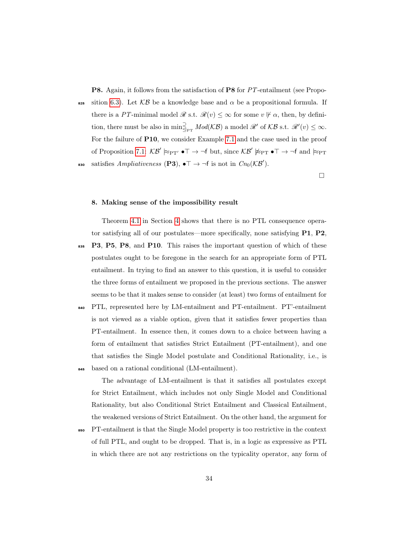P8. Again, it follows from the satisfaction of P8 for PT-entailment (see Propo-

825 sition [6.3\)](#page-29-0). Let  $KB$  be a knowledge base and  $\alpha$  be a propositional formula. If there is a PT-minimal model  $\mathscr{R}$  s.t.  $\mathscr{R}(v) \leq \infty$  for some  $v \not\vdash \alpha$ , then, by definition, there must be also in  $\min_{\mathcal{Q}_{PT}}^{\supseteq} Mod(K\mathcal{B})$  a model  $\mathcal{R}'$  of  $\mathcal{KB}$  s.t.  $\mathcal{R}'(v) \leq \infty$ . For the failure of P10, we consider Example [7.1](#page-32-0) and the case used in the proof of Proposition [7.1:](#page-32-1)  $\mathcal{KB}' \not\approx_{\text{PT}'} \bullet \top \rightarrow \neg f$  but, since  $\mathcal{KB}' \not\approx_{\text{PT}} \bullet \top \rightarrow \neg f$  and  $\approx_{\text{PT}}$ sso satisfies Ampliativeness (P3),  $\bullet \top \rightarrow \neg f$  is not in  $Cn_0(\mathcal{KB}')$ .

 $\Box$ 

#### <span id="page-34-0"></span>8. Making sense of the impossibility result

Theorem [4.1](#page-17-0) in Section [4](#page-12-0) shows that there is no PTL consequence operator satisfying all of our postulates—more specifically, none satisfying P1, P2,

- 835 P3, P5, P8, and P10. This raises the important question of which of these postulates ought to be foregone in the search for an appropriate form of PTL entailment. In trying to find an answer to this question, it is useful to consider the three forms of entailment we proposed in the previous sections. The answer seems to be that it makes sense to consider (at least) two forms of entailment for
- <sup>840</sup> PTL, represented here by LM-entailment and PT-entailment. PT'-entailment is not viewed as a viable option, given that it satisfies fewer properties than PT-entailment. In essence then, it comes down to a choice between having a form of entailment that satisfies Strict Entailment (PT-entailment), and one that satisfies the Single Model postulate and Conditional Rationality, i.e., is <sup>845</sup> based on a rational conditional (LM-entailment).

The advantage of LM-entailment is that it satisfies all postulates except for Strict Entailment, which includes not only Single Model and Conditional Rationality, but also Conditional Strict Entailment and Classical Entailment, the weakened versions of Strict Entailment. On the other hand, the argument for

<sup>850</sup> PT-entailment is that the Single Model property is too restrictive in the context of full PTL, and ought to be dropped. That is, in a logic as expressive as PTL in which there are not any restrictions on the typicality operator, any form of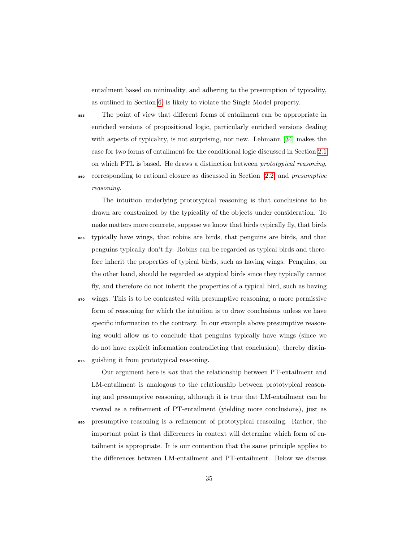entailment based on minimality, and adhering to the presumption of typicality, as outlined in Section [6,](#page-26-0) is likely to violate the Single Model property.

<sup>855</sup> The point of view that different forms of entailment can be appropriate in enriched versions of propositional logic, particularly enriched versions dealing with aspects of typicality, is not surprising, nor new. Lehmann [\[34\]](#page-47-5) makes the case for two forms of entailment for the conditional logic discussed in Section [2.1](#page-4-2) on which PTL is based. He draws a distinction between prototypical reasoning,

corresponding to rational closure as discussed in Section [2.2,](#page-7-0) and *presumptive* reasoning.

The intuition underlying prototypical reasoning is that conclusions to be drawn are constrained by the typicality of the objects under consideration. To make matters more concrete, suppose we know that birds typically fly, that birds

- typically have wings, that robins are birds, that penguins are birds, and that penguins typically don't fly. Robins can be regarded as typical birds and therefore inherit the properties of typical birds, such as having wings. Penguins, on the other hand, should be regarded as atypical birds since they typically cannot fly, and therefore do not inherit the properties of a typical bird, such as having
- $\bullet$  wings. This is to be contrasted with presumptive reasoning, a more permissive form of reasoning for which the intuition is to draw conclusions unless we have specific information to the contrary. In our example above presumptive reasoning would allow us to conclude that penguins typically have wings (since we do not have explicit information contradicting that conclusion), thereby distin-<sup>875</sup> guishing it from prototypical reasoning.

Our argument here is not that the relationship between PT-entailment and LM-entailment is analogous to the relationship between prototypical reasoning and presumptive reasoning, although it is true that LM-entailment can be viewed as a refinement of PT-entailment (yielding more conclusions), just as

<sup>880</sup> presumptive reasoning is a refinement of prototypical reasoning. Rather, the important point is that differences in context will determine which form of entailment is appropriate. It is our contention that the same principle applies to the differences between LM-entailment and PT-entailment. Below we discuss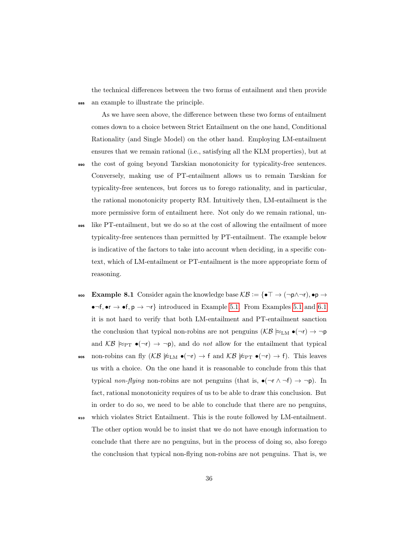the technical differences between the two forms of entailment and then provide <sup>885</sup> an example to illustrate the principle.

As we have seen above, the difference between these two forms of entailment comes down to a choice between Strict Entailment on the one hand, Conditional Rationality (and Single Model) on the other hand. Employing LM-entailment ensures that we remain rational (i.e., satisfying all the KLM properties), but at <sup>890</sup> the cost of going beyond Tarskian monotonicity for typicality-free sentences.

- Conversely, making use of PT-entailment allows us to remain Tarskian for typicality-free sentences, but forces us to forego rationality, and in particular, the rational monotonicity property RM. Intuitively then, LM-entailment is the more permissive form of entailment here. Not only do we remain rational, un-
- <sup>895</sup> like PT-entailment, but we do so at the cost of allowing the entailment of more typicality-free sentences than permitted by PT-entailment. The example below is indicative of the factors to take into account when deciding, in a specific context, which of LM-entailment or PT-entailment is the more appropriate form of reasoning.
- 900 Example 8.1 Consider again the knowledge base  $\mathcal{KB} := \{ \bullet \top \to (\neg p \land \neg r), \bullet p \to \bot \}$ •¬f, •  $\rightarrow$  •f,  $p \rightarrow \neg r$ } introduced in Example [5.1.](#page-20-0) From Examples [5.1](#page-20-0) and [6.1](#page-28-0) it is not hard to verify that both LM-entailment and PT-entailment sanction the conclusion that typical non-robins are not penguins  $(\mathcal{KB} \nvDash_{LM} \bullet (\neg r) \rightarrow \neg p$ and  $KB \approx_{\text{PT}} \bullet (\neg r) \rightarrow \neg p$ , and do *not* allow for the entailment that typical
- 905 non-robins can fly  $(K\mathcal{B} \not\approx_{LM} \bullet (\neg r) \to f \text{ and } \mathcal{KB} \not\approx_{PT} \bullet (\neg r) \to f)$ . This leaves us with a choice. On the one hand it is reasonable to conclude from this that typical non-flying non-robins are not penguins (that is,  $\bullet(\neg r \land \neg f) \to \neg p$ ). In fact, rational monotonicity requires of us to be able to draw this conclusion. But in order to do so, we need to be able to conclude that there are no penguins,
- <sup>910</sup> which violates Strict Entailment. This is the route followed by LM-entailment. The other option would be to insist that we do not have enough information to conclude that there are no penguins, but in the process of doing so, also forego the conclusion that typical non-flying non-robins are not penguins. That is, we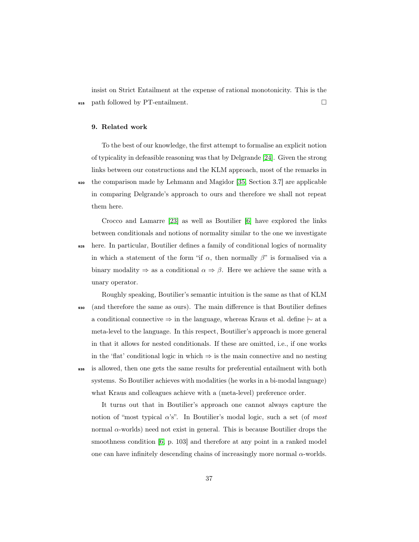insist on Strict Entailment at the expense of rational monotonicity. This is the <sup>915</sup> path followed by PT-entailment.

#### <span id="page-37-0"></span>9. Related work

To the best of our knowledge, the first attempt to formalise an explicit notion of typicality in defeasible reasoning was that by Delgrande [\[24\]](#page-45-3). Given the strong links between our constructions and the KLM approach, most of the remarks in <sup>920</sup> the comparison made by Lehmann and Magidor [\[35,](#page-47-1) Section 3.7] are applicable in comparing Delgrande's approach to ours and therefore we shall not repeat them here.

Crocco and Lamarre [\[23\]](#page-45-4) as well as Boutilier [\[6\]](#page-43-3) have explored the links between conditionals and notions of normality similar to the one we investigate

- <sup>925</sup> here. In particular, Boutilier defines a family of conditional logics of normality in which a statement of the form "if  $\alpha$ , then normally  $\beta$ " is formalised via a binary modality  $\Rightarrow$  as a conditional  $\alpha \Rightarrow \beta$ . Here we achieve the same with a unary operator.
- Roughly speaking, Boutilier's semantic intuition is the same as that of KLM <sup>930</sup> (and therefore the same as ours). The main difference is that Boutilier defines a conditional connective ⇒ in the language, whereas Kraus et al. define |∼ at a meta-level to the language. In this respect, Boutilier's approach is more general in that it allows for nested conditionals. If these are omitted, i.e., if one works in the 'flat' conditional logic in which  $\Rightarrow$  is the main connective and no nesting <sup>935</sup> is allowed, then one gets the same results for preferential entailment with both systems. So Boutilier achieves with modalities (he works in a bi-modal language) what Kraus and colleagues achieve with a (meta-level) preference order.

It turns out that in Boutilier's approach one cannot always capture the notion of "most typical  $\alpha$ 's". In Boutilier's modal logic, such a set (of most normal  $α$ -worlds) need not exist in general. This is because Boutilier drops the smoothness condition [\[6,](#page-43-3) p. 103] and therefore at any point in a ranked model one can have infinitely descending chains of increasingly more normal  $\alpha$ -worlds.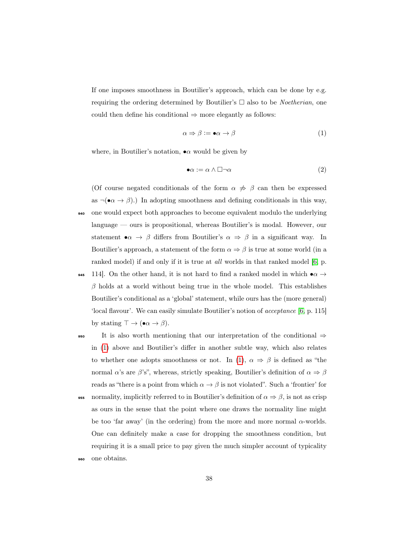If one imposes smoothness in Boutilier's approach, which can be done by e.g. requiring the ordering determined by Boutilier's  $\Box$  also to be *Noetherian*, one could then define his conditional  $\Rightarrow$  more elegantly as follows:

<span id="page-38-0"></span>
$$
\alpha \Rightarrow \beta := \bullet \alpha \to \beta \tag{1}
$$

where, in Boutilier's notation,  $\bullet \alpha$  would be given by

$$
\bullet \alpha := \alpha \land \Box \neg \alpha \tag{2}
$$

(Of course negated conditionals of the form  $\alpha \not\Rightarrow \beta$  can then be expressed as  $\neg(\bullet \alpha \to \beta)$ .) In adopting smoothness and defining conditionals in this way, <sup>940</sup> one would expect both approaches to become equivalent modulo the underlying language — ours is propositional, whereas Boutilier's is modal. However, our statement  $\bullet \alpha \to \beta$  differs from Boutilier's  $\alpha \Rightarrow \beta$  in a significant way. In Boutilier's approach, a statement of the form  $\alpha \Rightarrow \beta$  is true at some world (in a ranked model) if and only if it is true at *all* worlds in that ranked model [\[6,](#page-43-3) p.

- 945 114. On the other hand, it is not hard to find a ranked model in which  $\bullet \alpha \rightarrow$  $\beta$  holds at a world without being true in the whole model. This establishes Boutilier's conditional as a 'global' statement, while ours has the (more general) 'local flavour'. We can easily simulate Boutilier's notion of acceptance [\[6,](#page-43-3) p. 115] by stating  $\top \to (\bullet \alpha \to \beta)$ .
- 950 It is also worth mentioning that our interpretation of the conditional  $\Rightarrow$ in [\(1\)](#page-38-0) above and Boutilier's differ in another subtle way, which also relates to whether one adopts smoothness or not. In [\(1\)](#page-38-0),  $\alpha \Rightarrow \beta$  is defined as "the normal  $\alpha$ 's are  $\beta$ 's", whereas, strictly speaking, Boutilier's definition of  $\alpha \Rightarrow \beta$ reads as "there is a point from which  $\alpha \to \beta$  is not violated". Such a 'frontier' for 955 normality, implicitly referred to in Boutilier's definition of  $\alpha \Rightarrow \beta$ , is not as crisp as ours in the sense that the point where one draws the normality line might be too 'far away' (in the ordering) from the more and more normal  $\alpha$ -worlds. One can definitely make a case for dropping the smoothness condition, but requiring it is a small price to pay given the much simpler account of typicality
- <sup>960</sup> one obtains.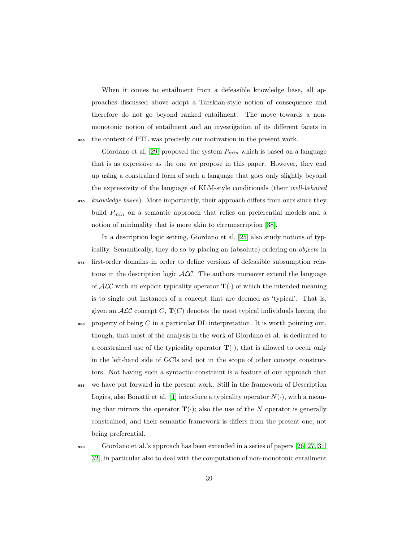When it comes to entailment from a defeasible knowledge base, all approaches discussed above adopt a Tarskian-style notion of consequence and therefore do not go beyond ranked entailment. The move towards a nonmonotonic notion of entailment and an investigation of its different facets in <sup>965</sup> the context of PTL was precisely our motivation in the present work.

Giordano et al. [\[29\]](#page-46-4) proposed the system  $P_{min}$  which is based on a language that is as expressive as the one we propose in this paper. However, they end up using a constrained form of such a language that goes only slightly beyond the expressivity of the language of KLM-style conditionals (their well-behaved  $\alpha$  knowledge bases). More importantly, their approach differs from ours since they build  $P_{min}$  on a semantic approach that relies on preferential models and a notion of minimality that is more akin to circumscription [\[38\]](#page-47-9).

In a description logic setting, Giordano et al. [\[25\]](#page-45-5) also study notions of typicality. Semantically, they do so by placing an (absolute) ordering on objects in <sup>975</sup> first-order domains in order to define versions of defeasible subsumption relations in the description logic  $ALC$ . The authors moreover extend the language of  $\mathcal{ALC}$  with an explicit typicality operator  $\mathbf{T}(\cdot)$  of which the intended meaning is to single out instances of a concept that are deemed as 'typical'. That is, given an  $\mathcal{ALC}$  concept C,  $\mathbf{T}(C)$  denotes the most typical individuals having the

- $\bullet$  property of being C in a particular DL interpretation. It is worth pointing out, though, that most of the analysis in the work of Giordano et al. is dedicated to a constrained use of the typicality operator  $\mathbf{T}(\cdot)$ , that is allowed to occur only in the left-hand side of GCIs and not in the scope of other concept constructors. Not having such a syntactic constraint is a feature of our approach that
- <sup>985</sup> we have put forward in the present work. Still in the framework of Description Logics, also Bonatti et al. [\[1\]](#page-42-1) introduce a typicality operator  $N(\cdot)$ , with a meaning that mirrors the operator  $\mathbf{T}(\cdot)$ ; also the use of the N operator is generally constrained, and their semantic framework is differs from the present one, not being preferential.
- <sup>990</sup> Giordano et al.'s approach has been extended in a series of papers [\[26,](#page-45-6) [27,](#page-46-5) [31,](#page-46-1) [32\]](#page-46-3), in particular also to deal with the computation of non-monotonic entailment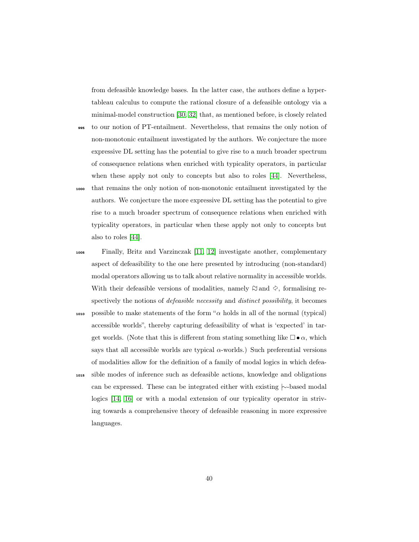from defeasible knowledge bases. In the latter case, the authors define a hypertableau calculus to compute the rational closure of a defeasible ontology via a minimal-model construction [\[30,](#page-46-2) [32\]](#page-46-3) that, as mentioned before, is closely related

- <sup>995</sup> to our notion of PT-entailment. Nevertheless, that remains the only notion of non-monotonic entailment investigated by the authors. We conjecture the more expressive DL setting has the potential to give rise to a much broader spectrum of consequence relations when enriched with typicality operators, in particular when these apply not only to concepts but also to roles [\[44\]](#page-48-1). Nevertheless,
- <sup>1000</sup> that remains the only notion of non-monotonic entailment investigated by the authors. We conjecture the more expressive DL setting has the potential to give rise to a much broader spectrum of consequence relations when enriched with typicality operators, in particular when these apply not only to concepts but also to roles [\[44\]](#page-48-1).
- <sup>1005</sup> Finally, Britz and Varzinczak [\[11,](#page-44-2) [12\]](#page-44-3) investigate another, complementary aspect of defeasibility to the one here presented by introducing (non-standard) modal operators allowing us to talk about relative normality in accessible worlds. With their defeasible versions of modalities, namely  $\uplus$  and  $\diamondsuit,$  formalising respectively the notions of *defeasible necessity* and *distinct possibility*, it becomes 1010 possible to make statements of the form " $\alpha$  holds in all of the normal (typical) accessible worlds", thereby capturing defeasibility of what is 'expected' in target worlds. (Note that this is different from stating something like  $\Box \bullet \alpha$ , which says that all accessible worlds are typical  $\alpha$ -worlds.) Such preferential versions
- <sup>1015</sup> sible modes of inference such as defeasible actions, knowledge and obligations can be expressed. These can be integrated either with existing |∼-based modal logics [\[14,](#page-44-0) [16\]](#page-44-4) or with a modal extension of our typicality operator in striving towards a comprehensive theory of defeasible reasoning in more expressive languages.

of modalities allow for the definition of a family of modal logics in which defea-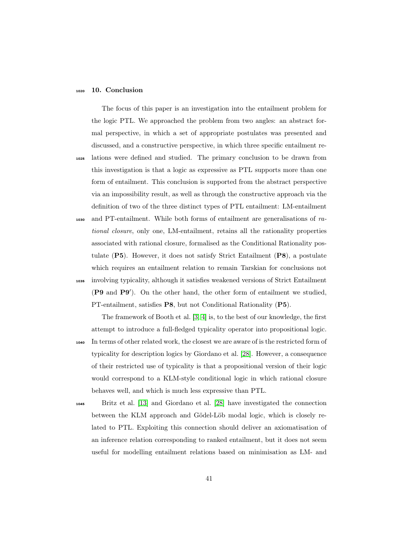#### <span id="page-41-0"></span><sup>1020</sup> 10. Conclusion

The focus of this paper is an investigation into the entailment problem for the logic PTL. We approached the problem from two angles: an abstract formal perspective, in which a set of appropriate postulates was presented and discussed, and a constructive perspective, in which three specific entailment re-<sup>1025</sup> lations were defined and studied. The primary conclusion to be drawn from this investigation is that a logic as expressive as PTL supports more than one form of entailment. This conclusion is supported from the abstract perspective via an impossibility result, as well as through the constructive approach via the definition of two of the three distinct types of PTL entailment: LM-entailment <sup>1030</sup> and PT-entailment. While both forms of entailment are generalisations of rational closure, only one, LM-entailment, retains all the rationality properties

associated with rational closure, formalised as the Conditional Rationality postulate (P5). However, it does not satisfy Strict Entailment (P8), a postulate which requires an entailment relation to remain Tarskian for conclusions not <sup>1035</sup> involving typicality, although it satisfies weakened versions of Strict Entailment (P9 and P9′ ). On the other hand, the other form of entailment we studied, PT-entailment, satisfies P8, but not Conditional Rationality (P5).

The framework of Booth et al. [\[3,](#page-43-1) [4\]](#page-43-2) is, to the best of our knowledge, the first attempt to introduce a full-fledged typicality operator into propositional logic. <sup>1040</sup> In terms of other related work, the closest we are aware of is the restricted form of typicality for description logics by Giordano et al. [\[28\]](#page-46-6). However, a consequence of their restricted use of typicality is that a propositional version of their logic would correspond to a KLM-style conditional logic in which rational closure behaves well, and which is much less expressive than PTL.

<sup>1045</sup> Britz et al. [\[13\]](#page-44-5) and Giordano et al. [\[28\]](#page-46-6) have investigated the connection between the KLM approach and Gödel-Löb modal logic, which is closely related to PTL. Exploiting this connection should deliver an axiomatisation of an inference relation corresponding to ranked entailment, but it does not seem useful for modelling entailment relations based on minimisation as LM- and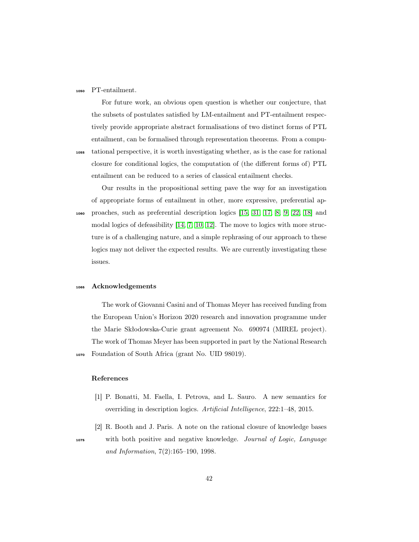#### <sup>1050</sup> PT-entailment.

For future work, an obvious open question is whether our conjecture, that the subsets of postulates satisfied by LM-entailment and PT-entailment respectively provide appropriate abstract formalisations of two distinct forms of PTL entailment, can be formalised through representation theorems. From a compu-<sup>1055</sup> tational perspective, it is worth investigating whether, as is the case for rational closure for conditional logics, the computation of (the different forms of) PTL entailment can be reduced to a series of classical entailment checks.

Our results in the propositional setting pave the way for an investigation of appropriate forms of entailment in other, more expressive, preferential ap-<sup>1060</sup> proaches, such as preferential description logics [\[15,](#page-44-1) [31,](#page-46-1) [17,](#page-44-6) [8,](#page-43-4) [9,](#page-43-5) [22,](#page-45-7) [18\]](#page-44-7) and modal logics of defeasibility [\[14,](#page-44-0) [7,](#page-43-6) [10,](#page-43-7) [12\]](#page-44-3). The move to logics with more structure is of a challenging nature, and a simple rephrasing of our approach to these logics may not deliver the expected results. We are currently investigating these issues.

#### <sup>1065</sup> Acknowledgements

The work of Giovanni Casini and of Thomas Meyer has received funding from the European Union's Horizon 2020 research and innovation programme under the Marie Skłodowska-Curie grant agreement No. 690974 (MIREL project). The work of Thomas Meyer has been supported in part by the National Research <sup>1070</sup> Foundation of South Africa (grant No. UID 98019).

#### References

- <span id="page-42-1"></span>[1] P. Bonatti, M. Faella, I. Petrova, and L. Sauro. A new semantics for overriding in description logics. Artificial Intelligence, 222:1–48, 2015.
- <span id="page-42-0"></span>[2] R. Booth and J. Paris. A note on the rational closure of knowledge bases <sup>1075</sup> with both positive and negative knowledge. Journal of Logic, Language and Information, 7(2):165–190, 1998.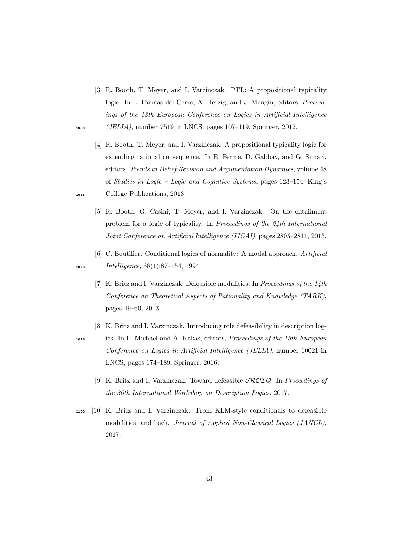- <span id="page-43-1"></span>[3] R. Booth, T. Meyer, and I. Varzinczak. PTL: A propositional typicality logic. In L. Fariñas del Cerro, A. Herzig, and J. Mengin, editors, Proceedings of the 13th European Conference on Logics in Artificial Intelligence <sup>1080</sup> (JELIA), number 7519 in LNCS, pages 107–119. Springer, 2012.
- [4] R. Booth, T. Meyer, and I. Varzinczak. A propositional typicality logic for extending rational consequence. In E. Fermé, D. Gabbay, and G. Simari, editors, Trends in Belief Revision and Argumentation Dynamics, volume 48 of Studies in Logic – Logic and Cognitive Systems, pages 123–154. King's <sup>1085</sup> College Publications, 2013.
	- [5] R. Booth, G. Casini, T. Meyer, and I. Varzinczak. On the entailment problem for a logic of typicality. In Proceedings of the 24th International Joint Conference on Artificial Intelligence (IJCAI), pages 2805–2811, 2015.
- <span id="page-43-6"></span><span id="page-43-3"></span>[6] C. Boutilier. Conditional logics of normality: A modal approach. Artificial 1090 Intelligence, 68(1):87-154, 1994.
	- [7] K. Britz and I. Varzinczak. Defeasible modalities. In Proceedings of the 14th Conference on Theoretical Aspects of Rationality and Knowledge (TARK), pages 49–60, 2013.
	- [8] K. Britz and I. Varzinczak. Introducing role defeasibility in description log-
- <span id="page-43-5"></span><span id="page-43-4"></span><sup>1095</sup> ics. In L. Michael and A. Kakas, editors, Proceedings of the 15th European Conference on Logics in Artificial Intelligence (JELIA), number 10021 in LNCS, pages 174–189. Springer, 2016.
	- [9] K. Britz and I. Varzinczak. Toward defeasible  $\mathcal{SROLQ}$ . In Proceedings of the 30th International Workshop on Description Logics, 2017.
- <span id="page-43-7"></span><sup>1100</sup> [10] K. Britz and I. Varzinczak. From KLM-style conditionals to defeasible modalities, and back. Journal of Applied Non-Classical Logics (JANCL), 2017.

<span id="page-43-2"></span>

<span id="page-43-0"></span>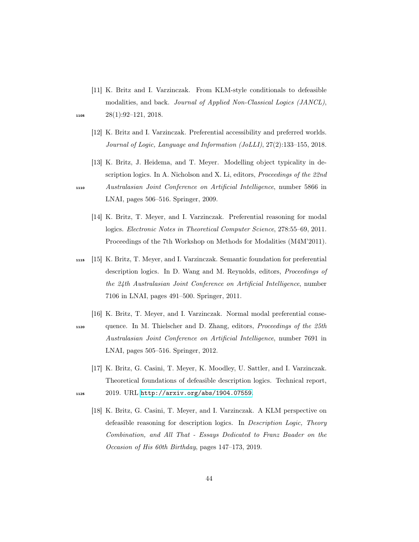- <span id="page-44-2"></span>[11] K. Britz and I. Varzinczak. From KLM-style conditionals to defeasible modalities, and back. Journal of Applied Non-Classical Logics (JANCL), 1105  $28(1):92-121, 2018.$
- 
- <span id="page-44-3"></span>[12] K. Britz and I. Varzinczak. Preferential accessibility and preferred worlds. Journal of Logic, Language and Information (JoLLI), 27(2):133–155, 2018.
- <span id="page-44-5"></span><span id="page-44-0"></span>[13] K. Britz, J. Heidema, and T. Meyer. Modelling object typicality in description logics. In A. Nicholson and X. Li, editors, Proceedings of the 22nd <sup>1110</sup> Australasian Joint Conference on Artificial Intelligence, number 5866 in LNAI, pages 506–516. Springer, 2009.
	- [14] K. Britz, T. Meyer, and I. Varzinczak. Preferential reasoning for modal logics. Electronic Notes in Theoretical Computer Science, 278:55–69, 2011. Proceedings of the 7th Workshop on Methods for Modalities (M4M'2011).
- <span id="page-44-1"></span><sup>1115</sup> [15] K. Britz, T. Meyer, and I. Varzinczak. Semantic foundation for preferential description logics. In D. Wang and M. Reynolds, editors, Proceedings of the 24th Australasian Joint Conference on Artificial Intelligence, number 7106 in LNAI, pages 491–500. Springer, 2011.
- <span id="page-44-4"></span>[16] K. Britz, T. Meyer, and I. Varzinczak. Normal modal preferential conse-<sup>1120</sup> quence. In M. Thielscher and D. Zhang, editors, Proceedings of the 25th Australasian Joint Conference on Artificial Intelligence, number 7691 in LNAI, pages 505–516. Springer, 2012.
- <span id="page-44-7"></span><span id="page-44-6"></span>[17] K. Britz, G. Casini, T. Meyer, K. Moodley, U. Sattler, and I. Varzinczak. Theoretical foundations of defeasible description logics. Technical report, <sup>1125</sup> 2019. URL <http://arxiv.org/abs/1904.07559>.
	- [18] K. Britz, G. Casini, T. Meyer, and I. Varzinczak. A KLM perspective on defeasible reasoning for description logics. In Description Logic, Theory Combination, and All That - Essays Dedicated to Franz Baader on the Occasion of His 60th Birthday, pages 147–173, 2019.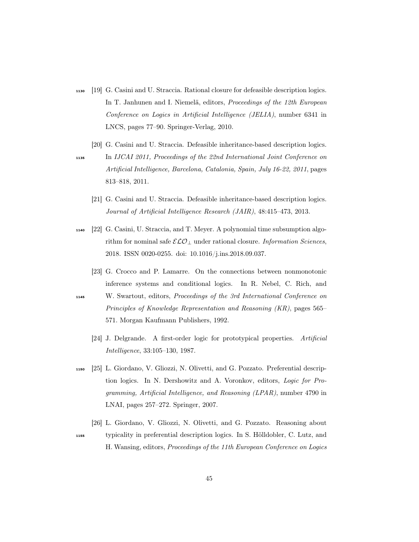- <span id="page-45-0"></span><sup>1130</sup> [19] G. Casini and U. Straccia. Rational closure for defeasible description logics. In T. Janhunen and I. Niemelä, editors, Proceedings of the 12th European Conference on Logics in Artificial Intelligence (JELIA), number 6341 in LNCS, pages 77–90. Springer-Verlag, 2010.
- <span id="page-45-1"></span>[20] G. Casini and U. Straccia. Defeasible inheritance-based description logics. <sup>1135</sup> In IJCAI 2011, Proceedings of the 22nd International Joint Conference on Artificial Intelligence, Barcelona, Catalonia, Spain, July 16-22, 2011, pages 813–818, 2011.
	- [21] G. Casini and U. Straccia. Defeasible inheritance-based description logics. Journal of Artificial Intelligence Research (JAIR), 48:415–473, 2013.
- <span id="page-45-7"></span><span id="page-45-2"></span><sup>1140</sup> [22] G. Casini, U. Straccia, and T. Meyer. A polynomial time subsumption algorithm for nominal safe  $\mathcal{ELO}_\perp$  under rational closure. *Information Sciences*, 2018. ISSN 0020-0255. doi: 10.1016/j.ins.2018.09.037.
	- [23] G. Crocco and P. Lamarre. On the connections between nonmonotonic inference systems and conditional logics. In R. Nebel, C. Rich, and
- <span id="page-45-4"></span><span id="page-45-3"></span><sup>1145</sup> W. Swartout, editors, Proceedings of the 3rd International Conference on Principles of Knowledge Representation and Reasoning (KR), pages 565– 571. Morgan Kaufmann Publishers, 1992.
	- [24] J. Delgrande. A first-order logic for prototypical properties. Artificial Intelligence, 33:105–130, 1987.
- <span id="page-45-5"></span><sup>1150</sup> [25] L. Giordano, V. Gliozzi, N. Olivetti, and G. Pozzato. Preferential description logics. In N. Dershowitz and A. Voronkov, editors, Logic for Programming, Artificial Intelligence, and Reasoning (LPAR), number 4790 in LNAI, pages 257–272. Springer, 2007.
- <span id="page-45-6"></span>[26] L. Giordano, V. Gliozzi, N. Olivetti, and G. Pozzato. Reasoning about <sup>1155</sup> typicality in preferential description logics. In S. Hölldobler, C. Lutz, and H. Wansing, editors, Proceedings of the 11th European Conference on Logics
	- 45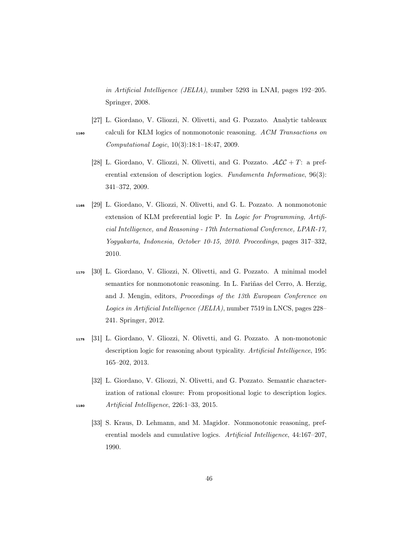in Artificial Intelligence (JELIA), number 5293 in LNAI, pages 192–205. Springer, 2008.

- <span id="page-46-6"></span><span id="page-46-5"></span>[27] L. Giordano, V. Gliozzi, N. Olivetti, and G. Pozzato. Analytic tableaux <sup>1160</sup> calculi for KLM logics of nonmonotonic reasoning. ACM Transactions on Computational Logic, 10(3):18:1–18:47, 2009.
	- [28] L. Giordano, V. Gliozzi, N. Olivetti, and G. Pozzato.  $\mathcal{ALC} + T$ : a preferential extension of description logics. Fundamenta Informaticae, 96(3): 341–372, 2009.
- <span id="page-46-4"></span><sup>1165</sup> [29] L. Giordano, V. Gliozzi, N. Olivetti, and G. L. Pozzato. A nonmonotonic extension of KLM preferential logic P. In Logic for Programming, Artificial Intelligence, and Reasoning - 17th International Conference, LPAR-17, Yogyakarta, Indonesia, October 10-15, 2010. Proceedings, pages 317–332, 2010.
- <span id="page-46-2"></span><sup>1170</sup> [30] L. Giordano, V. Gliozzi, N. Olivetti, and G. Pozzato. A minimal model semantics for nonmonotonic reasoning. In L. Fariñas del Cerro, A. Herzig, and J. Mengin, editors, Proceedings of the 13th European Conference on Logics in Artificial Intelligence (JELIA), number 7519 in LNCS, pages 228– 241. Springer, 2012.
- <span id="page-46-1"></span><sup>1175</sup> [31] L. Giordano, V. Gliozzi, N. Olivetti, and G. Pozzato. A non-monotonic description logic for reasoning about typicality. Artificial Intelligence, 195: 165–202, 2013.
- <span id="page-46-3"></span><span id="page-46-0"></span>[32] L. Giordano, V. Gliozzi, N. Olivetti, and G. Pozzato. Semantic characterization of rational closure: From propositional logic to description logics. <sup>1180</sup> Artificial Intelligence, 226:1–33, 2015.
	- [33] S. Kraus, D. Lehmann, and M. Magidor. Nonmonotonic reasoning, preferential models and cumulative logics. Artificial Intelligence, 44:167–207, 1990.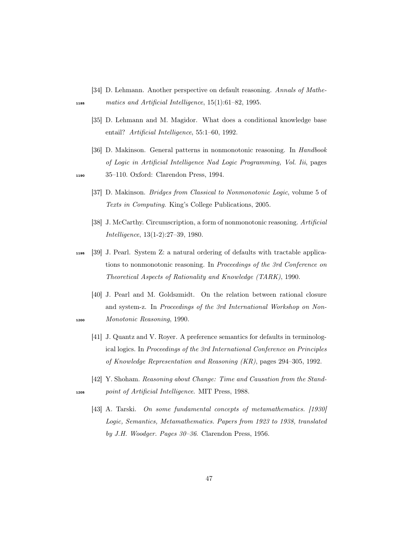- <span id="page-47-5"></span>[34] D. Lehmann. Another perspective on default reasoning. Annals of Mathe-
- <span id="page-47-1"></span>
- <sup>1185</sup> matics and Artificial Intelligence, 15(1):61–82, 1995.
	- [35] D. Lehmann and M. Magidor. What does a conditional knowledge base entail? Artificial Intelligence, 55:1–60, 1992.
	- [36] D. Makinson. General patterns in nonmonotonic reasoning. In Handbook of Logic in Artificial Intelligence Nad Logic Programming, Vol. Iii, pages
- <span id="page-47-8"></span><span id="page-47-7"></span>
- <sup>1190</sup> 35–110. Oxford: Clarendon Press, 1994.
	- [37] D. Makinson. *Bridges from Classical to Nonmonotonic Logic*, volume 5 of Texts in Computing. King's College Publications, 2005.
	- [38] J. McCarthy. Circumscription, a form of nonmonotonic reasoning. Artificial Intelligence, 13(1-2):27–39, 1980.
- <span id="page-47-9"></span><span id="page-47-2"></span><sup>1195</sup> [39] J. Pearl. System Z: a natural ordering of defaults with tractable applications to nonmonotonic reasoning. In Proceedings of the 3rd Conference on Theoretical Aspects of Rationality and Knowledge (TARK), 1990.
- <span id="page-47-4"></span><span id="page-47-3"></span>[40] J. Pearl and M. Goldszmidt. On the relation between rational closure and system-z. In Proceedings of the 3rd International Workshop on Non-<sup>1200</sup> Monotonic Reasoning, 1990.
	- [41] J. Quantz and V. Royer. A preference semantics for defaults in terminological logics. In Proceedings of the 3rd International Conference on Principles of Knowledge Representation and Reasoning (KR), pages 294–305, 1992.
- <span id="page-47-6"></span><span id="page-47-0"></span>[42] Y. Shoham. Reasoning about Change: Time and Causation from the Stand-<sup>1205</sup> point of Artificial Intelligence. MIT Press, 1988.
	- [43] A. Tarski. On some fundamental concepts of metamathematics. [1930] Logic, Semantics, Metamathematics. Papers from 1923 to 1938, translated by J.H. Woodger. Pages 30–36. Clarendon Press, 1956.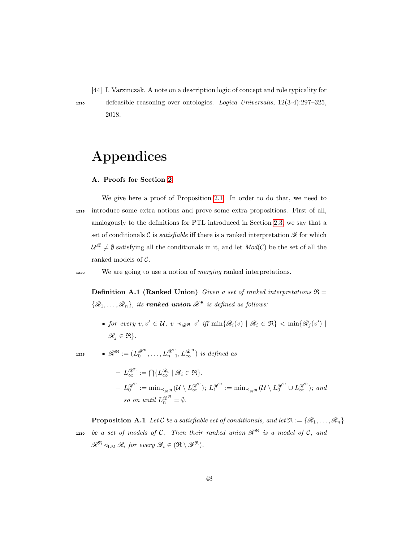<span id="page-48-1"></span>[44] I. Varzinczak. A note on a description logic of concept and role typicality for

<sup>1210</sup> defeasible reasoning over ontologies. Logica Universalis, 12(3-4):297–325, 2018.

## Appendices

#### <span id="page-48-0"></span>A. Proofs for Section [2](#page-4-0)

We give here a proof of Proposition [2.1.](#page-7-1) In order to do that, we need to <sup>1215</sup> introduce some extra notions and prove some extra propositions. First of all, analogously to the definitions for PTL introduced in Section [2.3,](#page-8-0) we say that a set of conditionals C is *satisfiable* iff there is a ranked interpretation  $\mathscr R$  for which  $\mathcal{U}^{\mathscr{R}} \neq \emptyset$  satisfying all the conditionals in it, and let  $Mod(\mathcal{C})$  be the set of all the ranked models of C.

1220 We are going to use a notion of *merging* ranked interpretations.

<span id="page-48-2"></span>**Definition A.1 (Ranked Union)** Given a set of ranked interpretations  $\Re$  =  $\{\mathscr{R}_1,\ldots,\mathscr{R}_n\}$ , its **ranked union**  $\mathscr{R}^{\mathfrak{R}}$  is defined as follows:

• for every  $v, v' \in \mathcal{U}$ ,  $v \prec_{\mathscr{R}^{\mathfrak{R}}} v'$  iff  $\min\{\mathscr{R}_i(v) \mid \mathscr{R}_i \in \mathfrak{R}\}$  <  $\min\{\mathscr{R}_j(v') \mid$  $\mathscr{R}_i \in \mathfrak{R}$ .

$$
\begin{aligned}\n\bullet \ \mathscr{R}^{\mathfrak{R}} &:= (L_0^{\mathscr{R}^{\mathfrak{R}}}, \dots, L_{n-1}^{\mathscr{R}^{\mathfrak{R}}}, L_{\infty}^{\mathscr{R}^{\mathfrak{R}}}) \ \text{is defined as} \\
&- L_{\infty}^{\mathscr{R}^{\mathfrak{R}}} := \bigcap \{ L_{\infty}^{\mathscr{R}_i} \mid \mathscr{R}_i \in \mathfrak{R} \} \\
&- L_0^{\mathscr{R}^{\mathfrak{R}}} &:= \min_{\prec_{\mathscr{R}^{\mathfrak{R}}}} (\mathcal{U} \setminus L_{\infty}^{\mathscr{R}^{\mathfrak{R}}}); L_1^{\mathscr{R}^{\mathfrak{R}}} := \min_{\prec_{\mathscr{R}^{\mathfrak{R}}}} (\mathcal{U} \setminus L_0^{\mathscr{R}^{\mathfrak{R}}} \cup L_{\infty}^{\mathscr{R}^{\mathfrak{R}}}); \text{ and} \\
& so \ on \ \text{until} \ L_n^{\mathscr{R}^{\mathfrak{R}}} = \emptyset.\n\end{aligned}
$$

<span id="page-48-3"></span>**Proposition A.1** Let C be a satisfiable set of conditionals, and let  $\mathfrak{R} := \{ \mathscr{R}_1, \ldots, \mathscr{R}_n \}$ 1230 be a set of models of C. Then their ranked union  $\mathscr{R}^{\mathfrak{R}}$  is a model of C, and  $\mathscr{R}^{\mathfrak{R}} \triangleleft_{\text{LM}} \mathscr{R}_i$  for every  $\mathscr{R}_i \in (\mathfrak{R} \setminus \mathscr{R}^{\mathfrak{R}}).$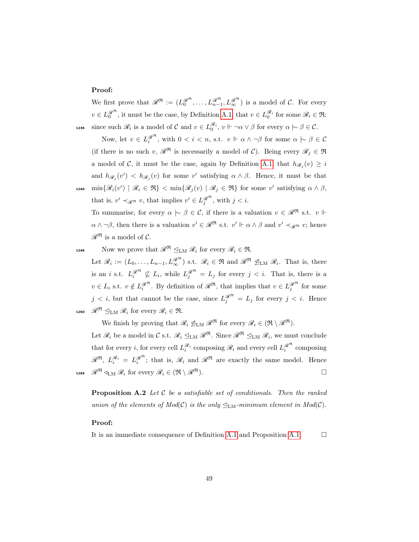#### Proof:

We first prove that  $\mathscr{R}^{\mathfrak{R}} := (L_0^{\mathscr{R}^{\mathfrak{R}}}, \ldots, L_{n-1}^{\mathscr{R}^{\mathfrak{R}}}, L_{\infty}^{\mathscr{R}^{\mathfrak{R}}})$  is a model of  $\mathcal{C}$ . For every  $v \in L_0^{\mathcal{R}^{\mathfrak{R}}}$ , it must be the case, by Definition [A.1,](#page-48-2) that  $v \in L_0^{\mathcal{R}_i}$  for some  $\mathcal{R}_i \in \mathfrak{R}$ ; **1235** since such  $\mathscr{R}_i$  is a model of C and  $v \in L_0^{\mathscr{R}_i}$ ,  $v \Vdash \neg \alpha \vee \beta$  for every  $\alpha \rhd \beta \in \mathcal{C}$ .

Now, let  $v \in L_i^{\mathscr{R}^{\mathfrak{R}}}$ , with  $0 < i < n$ , s.t.  $v \Vdash \alpha \wedge \neg \beta$  for some  $\alpha \hspace{0.2em}\sim\hspace{0.2em}\mid\hspace{0.58em} \beta \in \mathcal{C}$ (if there is no such v,  $\mathscr{R}^{\mathfrak{R}}$  is necessarily a model of C). Being every  $\mathscr{R}_j \in \mathfrak{R}$ a model of C, it must be the case, again by Definition [A.1,](#page-48-2) that  $h_{\mathscr{R}_j}(v) \geq i$ and  $h_{\mathscr{R}_j}(v') < h_{\mathscr{R}_j}(v)$  for some v' satisfying  $\alpha \wedge \beta$ . Hence, it must be that 1240  $\min\{\mathscr{R}_i(v') \mid \mathscr{R}_i \in \mathfrak{R}\}$  <  $\min\{\mathscr{R}_j(v) \mid \mathscr{R}_j \in \mathfrak{R}\}\)$  for some v' satisfying  $\alpha \wedge \beta$ , that is,  $v' \prec_{\mathscr{R}^{\mathfrak{R}}} v$ , that implies  $v' \in L_j^{\mathscr{R}^{\mathfrak{R}}}$ , with  $j < i$ .

To summarise, for every  $\alpha \mid \sim \beta \in \mathcal{C}$ , if there is a valuation  $v \in \mathcal{R}^{\mathfrak{R}}$  s.t.  $v \Vdash$  $\alpha \wedge \neg \beta$ , then there is a valuation  $v' \in \mathscr{R}^{\mathfrak{R}}$  s.t.  $v' \Vdash \alpha \wedge \beta$  and  $v' \prec_{\mathscr{R}^{\mathfrak{R}}} v$ ; hence  $\mathscr{R}^{\mathfrak{R}}$  is a model of  $\mathcal{C}$ .

1245 Now we prove that  $\mathscr{R}^{\mathfrak{R}} \leq_{\mathrm{LM}} \mathscr{R}_i$  for every  $\mathscr{R}_i \in \mathfrak{R}$ .

Let  $\mathscr{R}_i := (L_0, \ldots, L_{n-1}, L_{\infty}^{\mathscr{R}^{\mathfrak{R}}})$  s.t.  $\mathscr{R}_i \in \mathfrak{R}$  and  $\mathscr{R}^{\mathfrak{R}}$   $\mathscr{Q}_{LM}$   $\mathscr{R}_i$ . That is, there is an i s.t.  $L_i^{\mathscr{R}^{\mathfrak{R}}}\nsubseteq L_i$ , while  $L_j^{\mathscr{R}^{\mathfrak{R}}}=L_j$  for every  $j < i$ . That is, there is a  $v \in L_i$  s.t.  $v \notin L_i^{\mathscr{R}^{\mathfrak{R}}}$ . By definition of  $\mathscr{R}^{\mathfrak{R}}$ , that implies that  $v \in L_j^{\mathscr{R}^{\mathfrak{R}}}$  for some  $j < i$ , but that cannot be the case, since  $L_j^{\mathscr{R}^{\mathfrak{R}}}=L_j$  for every  $j < i$ . Hence 1250  $\mathscr{R}^{\mathfrak{R}} \subseteq_{\mathrm{LM}} \mathscr{R}_i$  for every  $\mathscr{R}_i \in \mathfrak{R}$ .

We finish by proving that  $\mathcal{R}_i \mathcal{L}_{LM} \mathcal{R}^{\mathfrak{R}}$  for every  $\mathcal{R}_i \in (\mathfrak{R} \setminus \mathcal{R}^{\mathfrak{R}})$ .

Let  $\mathscr{R}_i$  be a model in C s.t.  $\mathscr{R}_i \subseteq_{LM} \mathscr{R}^{\mathfrak{R}}$ . Since  $\mathscr{R}^{\mathfrak{R}} \subseteq_{LM} \mathscr{R}_i$ , we must conclude that for every *i*, for every cell  $L_i^{\mathcal{R}_i}$  composing  $\mathcal{R}_i$  and every cell  $L_i^{\mathcal{R}^{\mathfrak{R}}}$  composing  $\mathscr{R}^{\mathfrak{R}}, L_i^{\mathscr{R}_i} = L_i^{\mathscr{R}^{\mathfrak{R}}}$ ; that is,  $\mathscr{R}_i$  and  $\mathscr{R}^{\mathfrak{R}}$  are exactly the same model. Hence 1255  $\mathscr{R}^{\mathfrak{R}} \triangleleft_{LM} \mathscr{R}_i$  for every  $\mathscr{R}_i \in (\mathfrak{R} \setminus \mathscr{R}^{\mathfrak{R}})$ .

<span id="page-49-0"></span>**Proposition A.2** Let  $C$  be a satisfiable set of conditionals. Then the ranked union of the elements of  $Mod(C)$  is the only  $\mathcal{L}_{LM}$ -minimum element in  $Mod(C)$ .

#### Proof:

It is an immediate consequence of Definition [A.1](#page-48-2) and Proposition [A.1.](#page-48-3)  $\Box$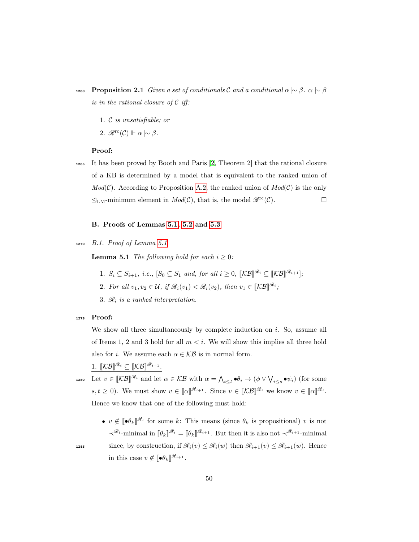- 1260 Proposition 2.1 Given a set of conditionals C and a conditional  $\alpha \sim \beta$ .  $\alpha \sim \beta$ is in the rational closure of  $\mathcal C$  iff:
	- 1. C is unsatisfiable; or
	- 2.  $\mathscr{R}^{\text{rc}}(\mathcal{C}) \Vdash \alpha \sim \beta$ .

#### Proof:

<sup>1265</sup> It has been proved by Booth and Paris [\[2,](#page-42-0) Theorem 2] that the rational closure of a KB is determined by a model that is equivalent to the ranked union of  $Mod(C)$ . According to Proposition [A.2,](#page-49-0) the ranked union of  $Mod(C)$  is the only  $\mathcal{L}_{LM}$ -minimum element in  $Mod(\mathcal{C})$ , that is, the model  $\mathcal{R}^{\text{rc}}(\mathcal{C})$ .

#### <span id="page-50-0"></span>B. Proofs of Lemmas [5.1,](#page-21-1) [5.2](#page-22-1) and [5.3](#page-23-2)

1270 B.1. Proof of Lemma  $5.1$ 

**Lemma 5.1** The following hold for each  $i > 0$ :

- 1.  $S_i \subseteq S_{i+1}$ , i.e.,  $[S_0 \subseteq S_1 \text{ and, for all } i \geq 0, \ [\mathcal{KB}]^{\mathscr{R}_i} \subseteq [\mathcal{KB}]^{\mathscr{R}_{i+1}}]$ ;
- 2. For all  $v_1, v_2 \in \mathcal{U}$ , if  $\mathscr{R}_i(v_1) < \mathscr{R}_i(v_2)$ , then  $v_1 \in [\mathcal{KB}]^{\mathscr{R}_i}$ ;
- 3.  $\mathcal{R}_i$  is a ranked interpretation.

#### <sup>1275</sup> Proof:

We show all three simultaneously by complete induction on  $i$ . So, assume all of Items 1, 2 and 3 hold for all  $m < i$ . We will show this implies all three hold also for *i*. We assume each  $\alpha \in \mathcal{KB}$  is in normal form.

1.  $\llbracket \mathcal{KB} \rrbracket^{\mathscr{R}_i} \subseteq \llbracket \mathcal{KB} \rrbracket^{\mathscr{R}_{i+1}}$ .

1280 Let  $v \in [\![\mathcal{KB}]\!]^{\mathscr{R}_i}$  and let  $\alpha \in \mathcal{KB}$  with  $\alpha = \bigwedge_{i \leq t} \bullet \theta_i \to (\phi \vee \bigvee_{i \leq s} \bullet \psi_i)$  (for some  $s, t \geq 0$ ). We must show  $v \in [\![\alpha]\!]^{\mathscr{R}_{i+1}}$ . Since  $v \in [\![\mathcal{KB}]\!]^{\mathscr{R}_i}$  we know  $v \in [\![\alpha]\!]^{\mathscr{R}_i}$ . Hence we know that one of the following must hold:

•  $v \notin [\![\bullet \theta_k]\!]^{\mathscr{R}_i}$  for some k: This means (since  $\theta_k$  is propositional) v is not  $\prec^{\mathscr{R}_i}$ -minimal in  $[\![\theta_k]\!]^{\mathscr{R}_i} = [\![\theta_k]\!]^{\mathscr{R}_{i+1}}$ . But then it is also not  $\prec^{\mathscr{R}_{i+1}}$ -minimal 1285 since, by construction, if  $\mathscr{R}_i(v) \leq \mathscr{R}_i(w)$  then  $\mathscr{R}_{i+1}(v) \leq \mathscr{R}_{i+1}(w)$ . Hence in this case  $v \notin [\![\bullet \theta_k]\!]^{\mathscr{R}_{i+1}}$ .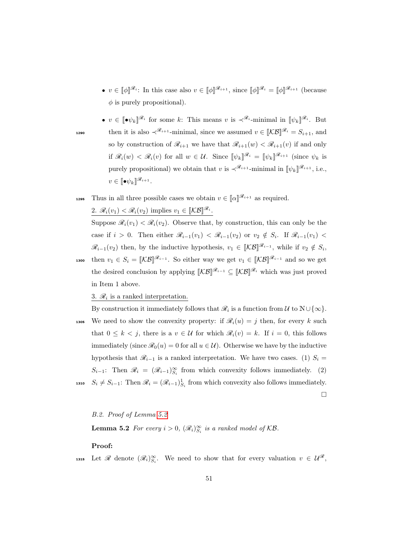- $v \in [\![\phi]\!]^{\mathscr{R}_i}$ : In this case also  $v \in [\![\phi]\!]^{\mathscr{R}_{i+1}}$ , since  $[\![\phi]\!]^{\mathscr{R}_i} = [\![\phi]\!]^{\mathscr{R}_{i+1}}$  (because  $\phi$  is purely propositional).
- $v \in [\![\bullet \psi_k]\!]^{\mathscr{R}_i}$  for some k: This means v is  $\prec^{\mathscr{R}_i}$ -minimal in  $[\![\psi_k]\!]^{\mathscr{R}_i}$ . But 1290 then it is also  $\prec^{\mathscr{R}_{i+1}}$ -minimal, since we assumed  $v \in [\mathcal{KB}]^{\mathscr{R}_i} = S_{i+1}$ , and so by construction of  $\mathcal{R}_{i+1}$  we have that  $\mathcal{R}_{i+1}(w) < \mathcal{R}_{i+1}(v)$  if and only if  $\mathscr{R}_i(w) < \mathscr{R}_i(v)$  for all  $w \in \mathcal{U}$ . Since  $[\![\psi_k]\!]^{\mathscr{R}_i} = [\![\psi_k]\!]^{\mathscr{R}_{i+1}}$  (since  $\psi_k$  is purely propositional) we obtain that v is  $\prec^{\mathscr{R}_{i+1}}$ -minimal in  $[\![\psi_k]\!]^{\mathscr{R}_{i+1}}$ , i.e.,  $v \in [\![ \bullet \psi_k ]\!]^{\mathscr{R}_{i+1}}.$
- 1295 Thus in all three possible cases we obtain  $v \in [\![\alpha]\!]^{\mathscr{R}_{i+1}}$  as required. 2.  $\mathscr{R}_i(v_1) < \mathscr{R}_i(v_2)$  implies  $v_1 \in [\mathcal{KB}]^{\mathscr{R}_i}$ .

Suppose  $\mathcal{R}_i(v_1) < \mathcal{R}_i(v_2)$ . Observe that, by construction, this can only be the case if  $i > 0$ . Then either  $\mathscr{R}_{i-1}(v_1) < \mathscr{R}_{i-1}(v_2)$  or  $v_2 \notin S_i$ . If  $\mathscr{R}_{i-1}(v_1) <$  $\mathscr{R}_{i-1}(v_2)$  then, by the inductive hypothesis,  $v_1 \in [\![\mathcal{KB}]\!]^{\mathscr{R}_{i-1}}$ , while if  $v_2 \notin S_i$ , 1300 then  $v_1 \in S_i = [\![\mathcal{KB}]\!]^{\mathscr{R}_{i-1}}$ . So either way we get  $v_1 \in [\![\mathcal{KB}]\!]^{\mathscr{R}_{i-1}}$  and so we get the desired conclusion by applying  $\llbracket \mathcal{KB} \rrbracket^{\mathscr{R}_{i-1}} \subseteq \llbracket \mathcal{KB} \rrbracket^{\mathscr{R}_i}$  which was just proved in Item 1 above.

3.  $\mathcal{R}_i$  is a ranked interpretation.

By construction it immediately follows that  $\mathscr{R}_i$  is a function from  $\mathcal{U}$  to  $\mathbb{N}\cup\{\infty\}$ . 1305 We need to show the convexity property: if  $\mathcal{R}_i(u) = j$  then, for every k such that  $0 \leq k < j$ , there is a  $v \in \mathcal{U}$  for which  $\mathscr{R}_i(v) = k$ . If  $i = 0$ , this follows immediately (since  $\mathcal{R}_0(u) = 0$  for all  $u \in \mathcal{U}$ ). Otherwise we have by the inductive hypothesis that  $\mathcal{R}_{i-1}$  is a ranked interpretation. We have two cases. (1)  $S_i$  =  $S_{i-1}$ : Then  $\mathscr{R}_i = (\mathscr{R}_{i-1})_{S_i}^{\infty}$  from which convexity follows immediately. (2) 1310  $S_i \neq S_{i-1}$ : Then  $\mathscr{R}_i = (\mathscr{R}_{i-1})^1_{S_i}$  from which convexity also follows immediately.

 $\Box$ 

<span id="page-51-0"></span>B.2. Proof of Lemma [5.2](#page-22-1)

**Lemma 5.2** For every  $i > 0$ ,  $(\mathscr{R}_i)_{S_i}^{\infty}$  is a ranked model of KB.

#### Proof:

1315 Let R denote  $(\mathscr{R}_i)_{S_i}^{\infty}$ . We need to show that for every valuation  $v \in \mathcal{U}^{\mathscr{R}}$ ,